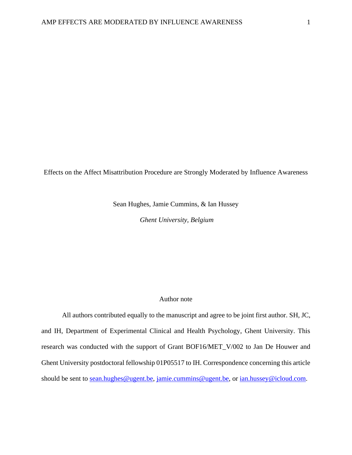Effects on the Affect Misattribution Procedure are Strongly Moderated by Influence Awareness

Sean Hughes, Jamie Cummins, & Ian Hussey

*Ghent University, Belgium* 

#### Author note

All authors contributed equally to the manuscript and agree to be joint first author. SH, JC, and IH, Department of Experimental Clinical and Health Psychology, Ghent University. This research was conducted with the support of Grant BOF16/MET\_V/002 to Jan De Houwer and Ghent University postdoctoral fellowship 01P05517 to IH. Correspondence concerning this article should be sent to <u>sean.hughes@ugent.be, jamie.cummins@ugent.be</u>, or <u>ian.hussey@icloud.com</u>.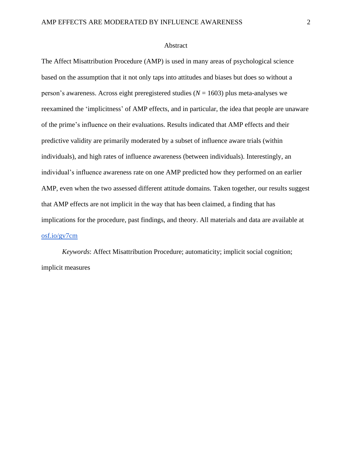#### Abstract

The Affect Misattribution Procedure (AMP) is used in many areas of psychological science based on the assumption that it not only taps into attitudes and biases but does so without a person's awareness. Across eight preregistered studies (*N* = 1603) plus meta-analyses we reexamined the 'implicitness' of AMP effects, and in particular, the idea that people are unaware of the prime's influence on their evaluations. Results indicated that AMP effects and their predictive validity are primarily moderated by a subset of influence aware trials (within individuals), and high rates of influence awareness (between individuals). Interestingly, an individual's influence awareness rate on one AMP predicted how they performed on an earlier AMP, even when the two assessed different attitude domains*.* Taken together, our results suggest that AMP effects are not implicit in the way that has been claimed, a finding that has implications for the procedure, past findings, and theory. All materials and data are available at [osf.io/gv7cm](https://osf.io/gv7cm/)

*Keywords*: Affect Misattribution Procedure; automaticity; implicit social cognition; implicit measures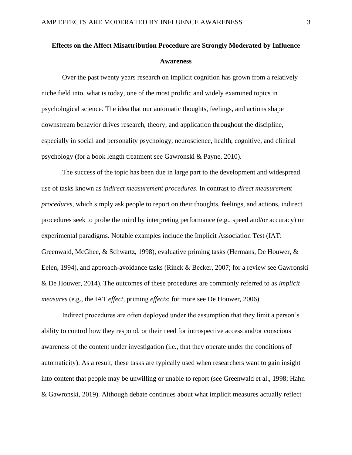### **Effects on the Affect Misattribution Procedure are Strongly Moderated by Influence Awareness**

Over the past twenty years research on implicit cognition has grown from a relatively niche field into, what is today, one of the most prolific and widely examined topics in psychological science. The idea that our automatic thoughts, feelings, and actions shape downstream behavior drives research, theory, and application throughout the discipline, especially in social and personality psychology, neuroscience, health, cognitive, and clinical psychology (for a book length treatment see Gawronski & Payne, 2010).

The success of the topic has been due in large part to the development and widespread use of tasks known as *indirect measurement procedures*. In contrast to *direct measurement procedures*, which simply ask people to report on their thoughts, feelings, and actions, indirect procedures seek to probe the mind by interpreting performance (e.g., speed and/or accuracy) on experimental paradigms. Notable examples include the Implicit Association Test (IAT: Greenwald, McGhee, & Schwartz, 1998), evaluative priming tasks (Hermans, De Houwer, & Eelen, 1994), and approach-avoidance tasks (Rinck & Becker, 2007; for a review see Gawronski & De Houwer, 2014). The outcomes of these procedures are commonly referred to as *implicit measures* (e.g., the IAT *effect*, priming *effects*; for more see De Houwer, 2006).

Indirect procedures are often deployed under the assumption that they limit a person's ability to control how they respond, or their need for introspective access and/or conscious awareness of the content under investigation (i.e., that they operate under the conditions of automaticity). As a result, these tasks are typically used when researchers want to gain insight into content that people may be unwilling or unable to report (see Greenwald et al., 1998; Hahn & Gawronski, 2019). Although debate continues about what implicit measures actually reflect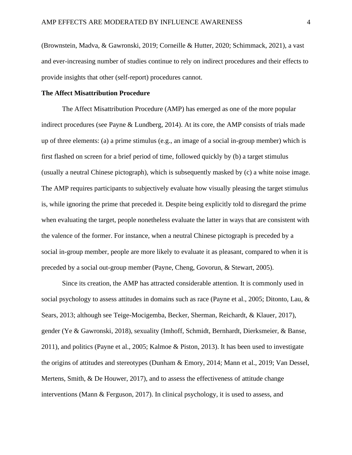(Brownstein, Madva, & Gawronski, 2019; Corneille & Hutter, 2020; Schimmack, 2021), a vast and ever-increasing number of studies continue to rely on indirect procedures and their effects to provide insights that other (self-report) procedures cannot.

#### **The Affect Misattribution Procedure**

The Affect Misattribution Procedure (AMP) has emerged as one of the more popular indirect procedures (see Payne & Lundberg, 2014). At its core, the AMP consists of trials made up of three elements: (a) a prime stimulus (e.g., an image of a social in-group member) which is first flashed on screen for a brief period of time, followed quickly by (b) a target stimulus (usually a neutral Chinese pictograph), which is subsequently masked by (c) a white noise image. The AMP requires participants to subjectively evaluate how visually pleasing the target stimulus is, while ignoring the prime that preceded it. Despite being explicitly told to disregard the prime when evaluating the target, people nonetheless evaluate the latter in ways that are consistent with the valence of the former. For instance, when a neutral Chinese pictograph is preceded by a social in-group member, people are more likely to evaluate it as pleasant, compared to when it is preceded by a social out-group member (Payne, Cheng, Govorun, & Stewart, 2005).

Since its creation, the AMP has attracted considerable attention. It is commonly used in social psychology to assess attitudes in domains such as race (Payne et al., 2005; Ditonto, Lau, & Sears, 2013; although see Teige-Mocigemba, Becker, Sherman, Reichardt, & Klauer, 2017), gender (Ye & Gawronski, 2018), sexuality (Imhoff, Schmidt, Bernhardt, Dierksmeier, & Banse, 2011), and politics (Payne et al., 2005; Kalmoe & Piston, 2013). It has been used to investigate the origins of attitudes and stereotypes (Dunham & Emory, 2014; Mann et al., 2019; Van Dessel, Mertens, Smith, & De Houwer, 2017), and to assess the effectiveness of attitude change interventions (Mann & Ferguson, 2017). In clinical psychology, it is used to assess, and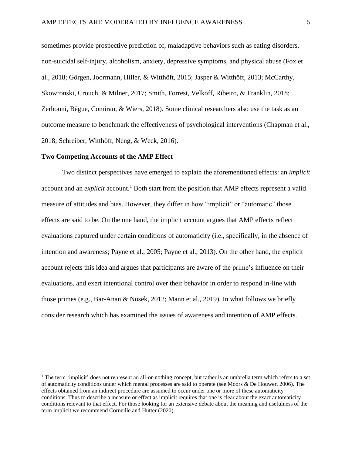sometimes provide prospective prediction of, maladaptive behaviors such as eating disorders, non-suicidal self-injury, alcoholism, anxiety, depressive symptoms, and physical abuse (Fox et al., 2018; Görgen, Joormann, Hiller, & Witthöft, 2015; Jasper & Witthöft, 2013; McCarthy, Skowronski, Crouch, & Milner, 2017; Smith, Forrest, Velkoff, Ribeiro, & Franklin, 2018; Zerhouni, Bègue, Comiran, & Wiers, 2018). Some clinical researchers also use the task as an outcome measure to benchmark the effectiveness of psychological interventions (Chapman et al., 2018; Schreiber, Witthöft, Neng, & Weck, 2016).

#### **Two Competing Accounts of the AMP Effect**

Two distinct perspectives have emerged to explain the aforementioned effects: an *implicit*  account and an *explicit* account.<sup>1</sup> Both start from the position that AMP effects represent a valid measure of attitudes and bias. However, they differ in how "implicit" or "automatic" those effects are said to be. On the one hand, the implicit account argues that AMP effects reflect evaluations captured under certain conditions of automaticity (i.e., specifically, in the absence of intention and awareness; Payne et al., 2005; Payne et al., 2013). On the other hand, the explicit account rejects this idea and argues that participants are aware of the prime's influence on their evaluations, and exert intentional control over their behavior in order to respond in-line with those primes (e.g., Bar-Anan & Nosek, 2012; Mann et al., 2019). In what follows we briefly consider research which has examined the issues of awareness and intention of AMP effects.

<sup>&</sup>lt;sup>1</sup> The term 'implicit' does not represent an all-or-nothing concept, but rather is an umbrella term which refers to a set of automaticity conditions under which mental processes are said to operate (see Moors & De Houwer, 2006). The effects obtained from an indirect procedure are assumed to occur under one or more of these automaticity conditions. Thus to describe a measure or effect as implicit requires that one is clear about the exact automaticity conditions relevant to that effect. For those looking for an extensive debate about the meaning and usefulness of the term implicit we recommend Corneille and Hütter (2020).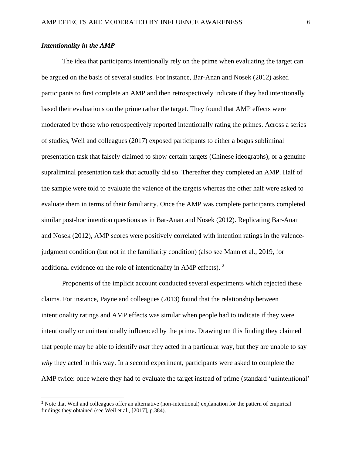#### *Intentionality in the AMP*

The idea that participants intentionally rely on the prime when evaluating the target can be argued on the basis of several studies. For instance, Bar-Anan and Nosek (2012) asked participants to first complete an AMP and then retrospectively indicate if they had intentionally based their evaluations on the prime rather the target. They found that AMP effects were moderated by those who retrospectively reported intentionally rating the primes. Across a series of studies, Weil and colleagues (2017) exposed participants to either a bogus subliminal presentation task that falsely claimed to show certain targets (Chinese ideographs), or a genuine supraliminal presentation task that actually did so. Thereafter they completed an AMP. Half of the sample were told to evaluate the valence of the targets whereas the other half were asked to evaluate them in terms of their familiarity. Once the AMP was complete participants completed similar post-hoc intention questions as in Bar-Anan and Nosek (2012). Replicating Bar-Anan and Nosek (2012), AMP scores were positively correlated with intention ratings in the valencejudgment condition (but not in the familiarity condition) (also see Mann et al., 2019, for additional evidence on the role of intentionality in AMP effects).  $2$ 

Proponents of the implicit account conducted several experiments which rejected these claims. For instance, Payne and colleagues (2013) found that the relationship between intentionality ratings and AMP effects was similar when people had to indicate if they were intentionally or unintentionally influenced by the prime. Drawing on this finding they claimed that people may be able to identify *that* they acted in a particular way, but they are unable to say *why* they acted in this way. In a second experiment, participants were asked to complete the AMP twice: once where they had to evaluate the target instead of prime (standard 'unintentional'

<sup>&</sup>lt;sup>2</sup> Note that Weil and colleagues offer an alternative (non-intentional) explanation for the pattern of empirical findings they obtained (see Weil et al., [2017], p.384).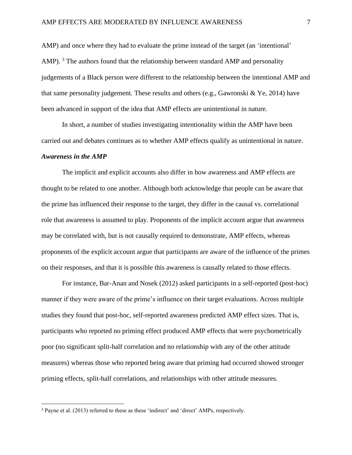AMP) and once where they had to evaluate the prime instead of the target (an 'intentional' AMP). <sup>3</sup> The authors found that the relationship between standard AMP and personality judgements of a Black person were different to the relationship between the intentional AMP and that same personality judgement. These results and others (e.g., Gawronski & Ye, 2014) have been advanced in support of the idea that AMP effects are unintentional in nature.

In short, a number of studies investigating intentionality within the AMP have been carried out and debates continues as to whether AMP effects qualify as unintentional in nature.

#### *Awareness in the AMP*

The implicit and explicit accounts also differ in how awareness and AMP effects are thought to be related to one another. Although both acknowledge that people can be aware that the prime has influenced their response to the target, they differ in the causal vs. correlational role that awareness is assumed to play. Proponents of the implicit account argue that awareness may be correlated with, but is not causally required to demonstrate, AMP effects, whereas proponents of the explicit account argue that participants are aware of the influence of the primes on their responses, and that it is possible this awareness is causally related to those effects.

For instance, Bar-Anan and Nosek (2012) asked participants in a self-reported (post-hoc) manner if they were aware of the prime's influence on their target evaluations. Across multiple studies they found that post-hoc, self-reported awareness predicted AMP effect sizes. That is, participants who reported no priming effect produced AMP effects that were psychometrically poor (no significant split-half correlation and no relationship with any of the other attitude measures) whereas those who reported being aware that priming had occurred showed stronger priming effects, split-half correlations, and relationships with other attitude measures.

<sup>3</sup> Payne et al. (2013) referred to these as these 'indirect' and 'direct' AMPs, respectively.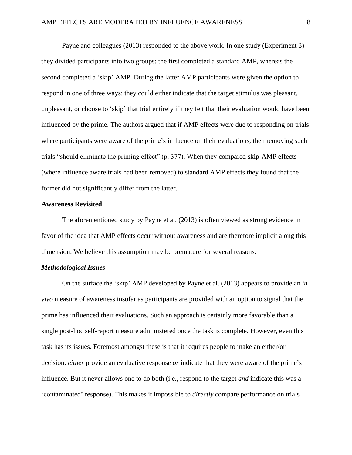Payne and colleagues (2013) responded to the above work. In one study (Experiment 3) they divided participants into two groups: the first completed a standard AMP, whereas the second completed a 'skip' AMP. During the latter AMP participants were given the option to respond in one of three ways: they could either indicate that the target stimulus was pleasant, unpleasant, or choose to 'skip' that trial entirely if they felt that their evaluation would have been influenced by the prime. The authors argued that if AMP effects were due to responding on trials where participants were aware of the prime's influence on their evaluations, then removing such trials "should eliminate the priming effect" (p. 377). When they compared skip-AMP effects (where influence aware trials had been removed) to standard AMP effects they found that the former did not significantly differ from the latter.

#### **Awareness Revisited**

The aforementioned study by Payne et al. (2013) is often viewed as strong evidence in favor of the idea that AMP effects occur without awareness and are therefore implicit along this dimension. We believe this assumption may be premature for several reasons.

#### *Methodological Issues*

On the surface the 'skip' AMP developed by Payne et al. (2013) appears to provide an *in vivo* measure of awareness insofar as participants are provided with an option to signal that the prime has influenced their evaluations. Such an approach is certainly more favorable than a single post-hoc self-report measure administered once the task is complete. However, even this task has its issues. Foremost amongst these is that it requires people to make an either/or decision: *either* provide an evaluative response *or* indicate that they were aware of the prime's influence. But it never allows one to do both (i.e., respond to the target *and* indicate this was a 'contaminated' response). This makes it impossible to *directly* compare performance on trials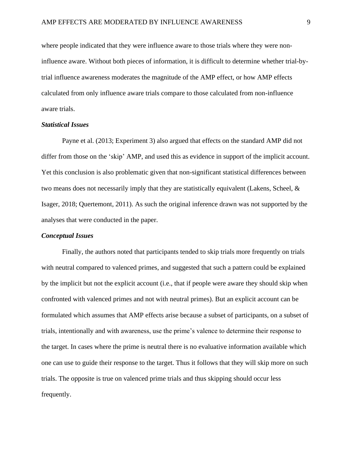where people indicated that they were influence aware to those trials where they were noninfluence aware. Without both pieces of information, it is difficult to determine whether trial-bytrial influence awareness moderates the magnitude of the AMP effect, or how AMP effects calculated from only influence aware trials compare to those calculated from non-influence aware trials.

#### *Statistical Issues*

Payne et al. (2013; Experiment 3) also argued that effects on the standard AMP did not differ from those on the 'skip' AMP, and used this as evidence in support of the implicit account. Yet this conclusion is also problematic given that non-significant statistical differences between two means does not necessarily imply that they are statistically equivalent (Lakens, Scheel, & Isager, 2018; Quertemont, 2011). As such the original inference drawn was not supported by the analyses that were conducted in the paper.

#### *Conceptual Issues*

Finally, the authors noted that participants tended to skip trials more frequently on trials with neutral compared to valenced primes, and suggested that such a pattern could be explained by the implicit but not the explicit account (i.e., that if people were aware they should skip when confronted with valenced primes and not with neutral primes). But an explicit account can be formulated which assumes that AMP effects arise because a subset of participants, on a subset of trials, intentionally and with awareness, use the prime's valence to determine their response to the target. In cases where the prime is neutral there is no evaluative information available which one can use to guide their response to the target. Thus it follows that they will skip more on such trials. The opposite is true on valenced prime trials and thus skipping should occur less frequently.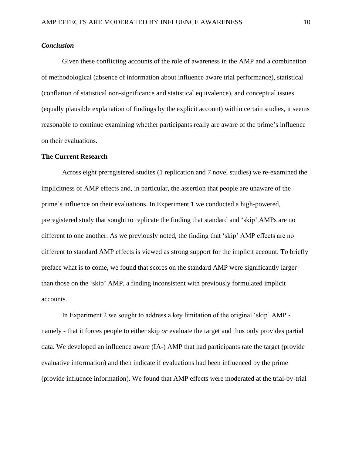#### *Conclusion*

Given these conflicting accounts of the role of awareness in the AMP and a combination of methodological (absence of information about influence aware trial performance), statistical (conflation of statistical non-significance and statistical equivalence), and conceptual issues (equally plausible explanation of findings by the explicit account) within certain studies, it seems reasonable to continue examining whether participants really are aware of the prime's influence on their evaluations.

#### **The Current Research**

Across eight preregistered studies (1 replication and 7 novel studies) we re-examined the implicitness of AMP effects and, in particular, the assertion that people are unaware of the prime's influence on their evaluations. In Experiment 1 we conducted a high-powered, preregistered study that sought to replicate the finding that standard and 'skip' AMPs are no different to one another. As we previously noted, the finding that 'skip' AMP effects are no different to standard AMP effects is viewed as strong support for the implicit account. To briefly preface what is to come, we found that scores on the standard AMP were significantly larger than those on the 'skip' AMP, a finding inconsistent with previously formulated implicit accounts.

In Experiment 2 we sought to address a key limitation of the original 'skip' AMP namely - that it forces people to either skip *or* evaluate the target and thus only provides partial data. We developed an influence aware (IA-) AMP that had participants rate the target (provide evaluative information) and then indicate if evaluations had been influenced by the prime (provide influence information). We found that AMP effects were moderated at the trial-by-trial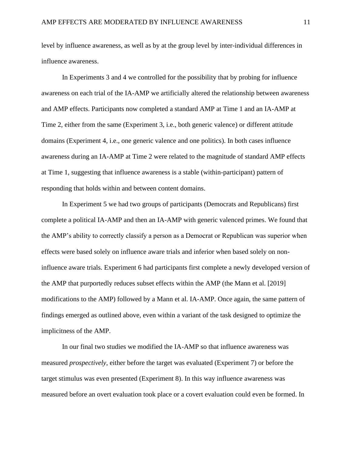level by influence awareness, as well as by at the group level by inter-individual differences in influence awareness.

In Experiments 3 and 4 we controlled for the possibility that by probing for influence awareness on each trial of the IA-AMP we artificially altered the relationship between awareness and AMP effects. Participants now completed a standard AMP at Time 1 and an IA-AMP at Time 2, either from the same (Experiment 3, i.e., both generic valence) or different attitude domains (Experiment 4, i.e., one generic valence and one politics). In both cases influence awareness during an IA-AMP at Time 2 were related to the magnitude of standard AMP effects at Time 1, suggesting that influence awareness is a stable (within-participant) pattern of responding that holds within and between content domains.

In Experiment 5 we had two groups of participants (Democrats and Republicans) first complete a political IA-AMP and then an IA-AMP with generic valenced primes. We found that the AMP's ability to correctly classify a person as a Democrat or Republican was superior when effects were based solely on influence aware trials and inferior when based solely on noninfluence aware trials. Experiment 6 had participants first complete a newly developed version of the AMP that purportedly reduces subset effects within the AMP (the Mann et al. [2019] modifications to the AMP) followed by a Mann et al. IA-AMP. Once again, the same pattern of findings emerged as outlined above, even within a variant of the task designed to optimize the implicitness of the AMP.

In our final two studies we modified the IA-AMP so that influence awareness was measured *prospectively*, either before the target was evaluated (Experiment 7) or before the target stimulus was even presented (Experiment 8). In this way influence awareness was measured before an overt evaluation took place or a covert evaluation could even be formed. In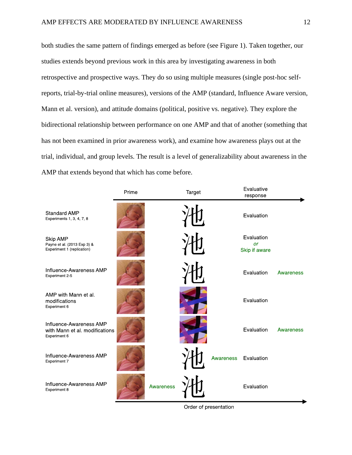both studies the same pattern of findings emerged as before (see Figure 1). Taken together, our studies extends beyond previous work in this area by investigating awareness in both retrospective and prospective ways. They do so using multiple measures (single post-hoc selfreports, trial-by-trial online measures), versions of the AMP (standard, Influence Aware version, Mann et al. version), and attitude domains (political, positive vs. negative). They explore the bidirectional relationship between performance on one AMP and that of another (something that has not been examined in prior awareness work), and examine how awareness plays out at the trial, individual, and group levels. The result is a level of generalizability about awareness in the AMP that extends beyond that which has come before.

|                                                                           | Prime |           | Target |           | Evaluative<br>response                   |           |
|---------------------------------------------------------------------------|-------|-----------|--------|-----------|------------------------------------------|-----------|
| <b>Standard AMP</b><br>Experiments 1, 3, 4, 7, 8                          |       |           |        |           | Evaluation                               |           |
| Skip AMP<br>Payne et al. (2013 Exp 3) &<br>Experiment 1 (replication)     |       |           |        |           | Evaluation<br><b>or</b><br>Skip if aware |           |
| Influence-Awareness AMP<br>Experiment 2-5                                 |       |           |        |           | Evaluation                               | Awareness |
| AMP with Mann et al.<br>modifications<br>Experiment 6                     |       |           |        |           | Evaluation                               |           |
| Influence-Awareness AMP<br>with Mann et al. modifications<br>Experiment 6 |       |           |        |           | Evaluation                               | Awareness |
| Influence-Awareness AMP<br>Experiment 7                                   |       |           |        | Awareness | Evaluation                               |           |
| Influence-Awareness AMP<br>Experiment 8                                   |       | Awareness |        |           | Evaluation                               |           |

Order of presentation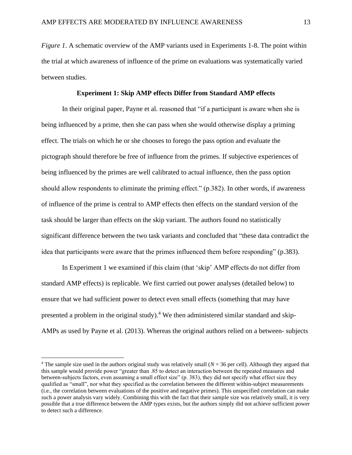*Figure 1.* A schematic overview of the AMP variants used in Experiments 1-8. The point within the trial at which awareness of influence of the prime on evaluations was systematically varied between studies.

#### **Experiment 1: Skip AMP effects Differ from Standard AMP effects**

In their original paper, Payne et al. reasoned that "if a participant is aware when she is being influenced by a prime, then she can pass when she would otherwise display a priming effect. The trials on which he or she chooses to forego the pass option and evaluate the pictograph should therefore be free of influence from the primes. If subjective experiences of being influenced by the primes are well calibrated to actual influence, then the pass option should allow respondents to eliminate the priming effect." (p.382). In other words, if awareness of influence of the prime is central to AMP effects then effects on the standard version of the task should be larger than effects on the skip variant. The authors found no statistically significant difference between the two task variants and concluded that "these data contradict the idea that participants were aware that the primes influenced them before responding" (p.383).

In Experiment 1 we examined if this claim (that 'skip' AMP effects do not differ from standard AMP effects) is replicable. We first carried out power analyses (detailed below) to ensure that we had sufficient power to detect even small effects (something that may have presented a problem in the original study).<sup>4</sup> We then administered similar standard and skip-AMPs as used by Payne et al. (2013). Whereas the original authors relied on a between- subjects

<sup>&</sup>lt;sup>4</sup> The sample size used in the authors original study was relatively small  $(N = 36$  per cell). Although they argued that this sample would provide power "greater than .85 to detect an interaction between the repeated measures and between-subjects factors, even assuming a small effect size" (p. 383), they did not specify what effect size they qualified as "small", nor what they specified as the correlation between the different within-subject measurements (i.e., the correlation between evaluations of the positive and negative primes). This unspecified correlation can make such a power analysis vary widely. Combining this with the fact that their sample size was relatively small, it is very possible that a true difference between the AMP types exists, but the authors simply did not achieve sufficient power to detect such a difference.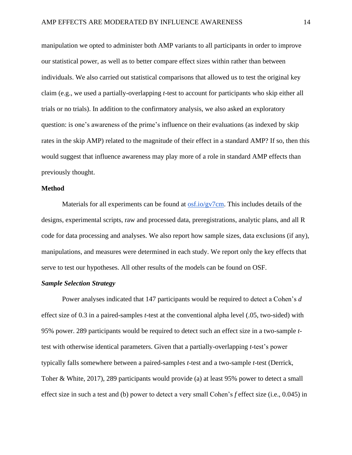manipulation we opted to administer both AMP variants to all participants in order to improve our statistical power, as well as to better compare effect sizes within rather than between individuals. We also carried out statistical comparisons that allowed us to test the original key claim (e.g., we used a partially-overlapping *t*-test to account for participants who skip either all trials or no trials). In addition to the confirmatory analysis, we also asked an exploratory question: is one's awareness of the prime's influence on their evaluations (as indexed by skip rates in the skip AMP) related to the magnitude of their effect in a standard AMP? If so, then this would suggest that influence awareness may play more of a role in standard AMP effects than previously thought.

#### **Method**

Materials for all experiments can be found at  $\frac{0.05 \text{ to } 200 \text{ m}}{0.05 \text{ m}}$ . This includes details of the designs, experimental scripts, raw and processed data, preregistrations, analytic plans, and all R code for data processing and analyses. We also report how sample sizes, data exclusions (if any), manipulations, and measures were determined in each study. We report only the key effects that serve to test our hypotheses. All other results of the models can be found on OSF.

#### *Sample Selection Strategy*

Power analyses indicated that 147 participants would be required to detect a Cohen's *d* effect size of 0.3 in a paired-samples *t*-test at the conventional alpha level (.05, two-sided) with 95% power. 289 participants would be required to detect such an effect size in a two-sample *t*test with otherwise identical parameters. Given that a partially-overlapping *t*-test's power typically falls somewhere between a paired-samples *t*-test and a two-sample *t*-test (Derrick, Toher & White, 2017), 289 participants would provide (a) at least 95% power to detect a small effect size in such a test and (b) power to detect a very small Cohen's *f* effect size (i.e., 0.045) in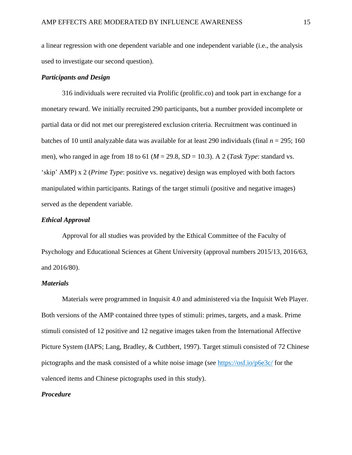a linear regression with one dependent variable and one independent variable (i.e., the analysis used to investigate our second question).

#### *Participants and Design*

316 individuals were recruited via Prolific (prolific.co) and took part in exchange for a monetary reward. We initially recruited 290 participants, but a number provided incomplete or partial data or did not met our preregistered exclusion criteria. Recruitment was continued in batches of 10 until analyzable data was available for at least 290 individuals (final  $n = 295$ ; 160 men), who ranged in age from 18 to 61 ( $M = 29.8$ ,  $SD = 10.3$ ). A 2 (*Task Type*: standard vs. 'skip' AMP) x 2 (*Prime Type*: positive vs. negative) design was employed with both factors manipulated within participants. Ratings of the target stimuli (positive and negative images) served as the dependent variable.

#### *Ethical Approval*

Approval for all studies was provided by the Ethical Committee of the Faculty of Psychology and Educational Sciences at Ghent University (approval numbers 2015/13, 2016/63, and 2016/80).

#### *Materials*

Materials were programmed in Inquisit 4.0 and administered via the Inquisit Web Player. Both versions of the AMP contained three types of stimuli: primes, targets, and a mask. Prime stimuli consisted of 12 positive and 12 negative images taken from the International Affective Picture System (IAPS; Lang, Bradley, & Cuthbert, 1997). Target stimuli consisted of 72 Chinese pictographs and the mask consisted of a white noise image (see<https://osf.io/p6e3c/> for the valenced items and Chinese pictographs used in this study).

#### *Procedure*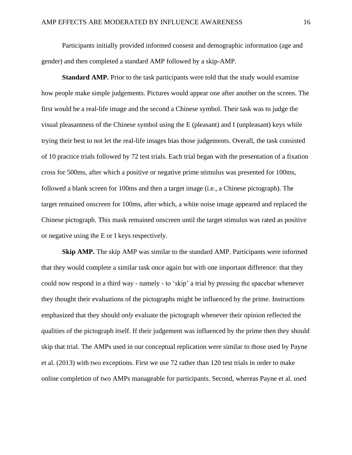Participants initially provided informed consent and demographic information (age and gender) and then completed a standard AMP followed by a skip-AMP.

**Standard AMP.** Prior to the task participants were told that the study would examine how people make simple judgements. Pictures would appear one after another on the screen. The first would be a real-life image and the second a Chinese symbol. Their task was to judge the visual pleasantness of the Chinese symbol using the E (pleasant) and I (unpleasant) keys while trying their best to not let the real-life images bias those judgements. Overall, the task consisted of 10 practice trials followed by 72 test trials. Each trial began with the presentation of a fixation cross for 500ms, after which a positive or negative prime stimulus was presented for 100ms, followed a blank screen for 100ms and then a target image (i.e., a Chinese pictograph). The target remained onscreen for 100ms, after which, a white noise image appeared and replaced the Chinese pictograph. This mask remained onscreen until the target stimulus was rated as positive or negative using the E or I keys respectively.

**Skip AMP.** The skip AMP was similar to the standard AMP. Participants were informed that they would complete a similar task once again but with one important difference: that they could now respond in a third way - namely - to 'skip' a trial by pressing the spacebar whenever they thought their evaluations of the pictographs might be influenced by the prime. Instructions emphasized that they should *only* evaluate the pictograph whenever their opinion reflected the qualities of the pictograph itself. If their judgement was influenced by the prime then they should skip that trial. The AMPs used in our conceptual replication were similar to those used by Payne et al. (2013) with two exceptions. First we use 72 rather than 120 test trials in order to make online completion of two AMPs manageable for participants. Second, whereas Payne et al. used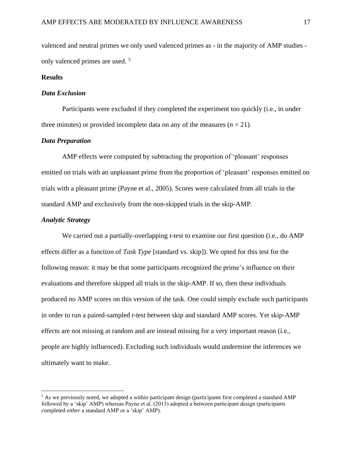valenced and neutral primes we only used valenced primes as - in the majority of AMP studies only valenced primes are used.<sup>5</sup>

#### **Results**

#### *Data Exclusion*

Participants were excluded if they completed the experiment too quickly (i.e., in under three minutes) or provided incomplete data on any of the measures  $(n = 21)$ .

#### *Data Preparation*

AMP effects were computed by subtracting the proportion of 'pleasant' responses emitted on trials with an unpleasant prime from the proportion of 'pleasant' responses emitted on trials with a pleasant prime (Payne et al., 2005). Scores were calculated from all trials in the standard AMP and exclusively from the non-skipped trials in the skip-AMP.

#### *Analytic Strategy*

We carried out a partially-overlapping *t*-test to examine our first question (i.e., do AMP effects differ as a function of *Task Type* [standard vs. skip]). We opted for this test for the following reason: it may be that some participants recognized the prime's influence on their evaluations and therefore skipped all trials in the skip-AMP. If so, then these individuals produced no AMP scores on this version of the task. One could simply exclude such participants in order to run a paired-sampled *t*-test between skip and standard AMP scores. Yet skip-AMP effects are not missing at random and are instead missing for a very important reason (i.e., people are highly influenced). Excluding such individuals would undermine the inferences we ultimately want to make.

<sup>5</sup> As we previously noted, we adopted a within participant design (participants first completed a standard AMP followed by a 'skip' AMP) whereas Payne et al. (2013) adopted a between participant design (participants completed *either* a standard AMP or a 'skip' AMP).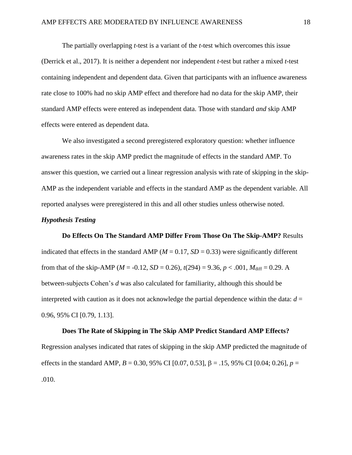The partially overlapping *t*-test is a variant of the *t*-test which overcomes this issue (Derrick et al., 2017). It is neither a dependent nor independent *t*-test but rather a mixed *t*-test containing independent and dependent data. Given that participants with an influence awareness rate close to 100% had no skip AMP effect and therefore had no data for the skip AMP, their standard AMP effects were entered as independent data. Those with standard *and* skip AMP effects were entered as dependent data.

We also investigated a second preregistered exploratory question: whether influence awareness rates in the skip AMP predict the magnitude of effects in the standard AMP. To answer this question, we carried out a linear regression analysis with rate of skipping in the skip-AMP as the independent variable and effects in the standard AMP as the dependent variable. All reported analyses were preregistered in this and all other studies unless otherwise noted.

#### *Hypothesis Testing*

**Do Effects On The Standard AMP Differ From Those On The Skip-AMP?** Results indicated that effects in the standard AMP ( $M = 0.17$ ,  $SD = 0.33$ ) were significantly different from that of the skip-AMP ( $M = -0.12$ ,  $SD = 0.26$ ),  $t(294) = 9.36$ ,  $p < .001$ ,  $M_{\text{diff}} = 0.29$ . A between-subjects Cohen's *d* was also calculated for familiarity, although this should be interpreted with caution as it does not acknowledge the partial dependence within the data:  $d =$ 0.96, 95% CI [0.79, 1.13].

**Does The Rate of Skipping in The Skip AMP Predict Standard AMP Effects?** Regression analyses indicated that rates of skipping in the skip AMP predicted the magnitude of effects in the standard AMP,  $B = 0.30$ , 95% CI [0.07, 0.53],  $\beta = .15$ , 95% CI [0.04; 0.26],  $p =$ .010.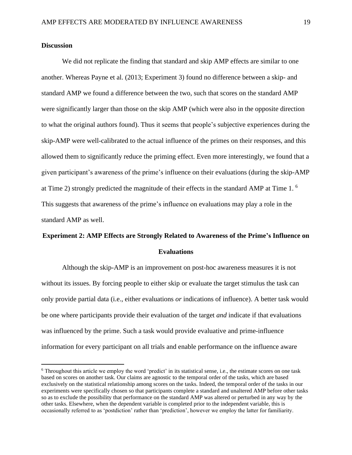#### **Discussion**

We did not replicate the finding that standard and skip AMP effects are similar to one another. Whereas Payne et al. (2013; Experiment 3) found no difference between a skip- and standard AMP we found a difference between the two, such that scores on the standard AMP were significantly larger than those on the skip AMP (which were also in the opposite direction to what the original authors found). Thus it seems that people's subjective experiences during the skip-AMP were well-calibrated to the actual influence of the primes on their responses, and this allowed them to significantly reduce the priming effect. Even more interestingly, we found that a given participant's awareness of the prime's influence on their evaluations (during the skip-AMP at Time 2) strongly predicted the magnitude of their effects in the standard AMP at Time 1.  $\rm ^6$ This suggests that awareness of the prime's influence on evaluations may play a role in the standard AMP as well.

### **Experiment 2: AMP Effects are Strongly Related to Awareness of the Prime's Influence on Evaluations**

Although the skip-AMP is an improvement on post-hoc awareness measures it is not without its issues. By forcing people to either skip or evaluate the target stimulus the task can only provide partial data (i.e., either evaluations *or* indications of influence). A better task would be one where participants provide their evaluation of the target *and* indicate if that evaluations was influenced by the prime. Such a task would provide evaluative and prime-influence information for every participant on all trials and enable performance on the influence aware

 $6$  Throughout this article we employ the word 'predict' in its statistical sense, i.e., the estimate scores on one task based on scores on another task. Our claims are agnostic to the temporal order of the tasks, which are based exclusively on the statistical relationship among scores on the tasks. Indeed, the temporal order of the tasks in our experiments were specifically chosen so that participants complete a standard and unaltered AMP before other tasks so as to exclude the possibility that performance on the standard AMP was altered or perturbed in any way by the other tasks. Elsewhere, when the dependent variable is completed prior to the independent variable, this is occasionally referred to as 'postdiction' rather than 'prediction', however we employ the latter for familiarity.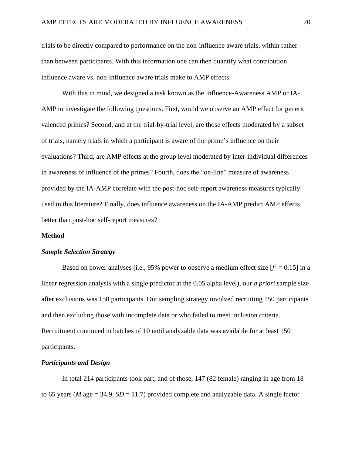trials to be directly compared to performance on the non-influence aware trials, within rather than between participants. With this information one can then quantify what contribution influence aware vs. non-influence aware trials make to AMP effects.

With this in mind, we designed a task known as the Influence-Awareness AMP or IA-AMP to investigate the following questions. First, would we observe an AMP effect for generic valenced primes? Second, and at the trial-by-trial level, are those effects moderated by a subset of trials, namely trials in which a participant is aware of the prime's influence on their evaluations? Third, are AMP effects at the group level moderated by inter-individual differences in awareness of influence of the primes? Fourth, does the "on-line" measure of awareness provided by the IA-AMP correlate with the post-hoc self-report awareness measures typically used in this literature? Finally, does influence awareness on the IA-AMP predict AMP effects better than post-hoc self-report measures?

#### **Method**

#### *Sample Selection Strategy*

Based on power analyses (i.e., 95% power to observe a medium effect size  $[f^2 = 0.15]$  in a linear regression analysis with a single predictor at the 0.05 alpha level), our *a priori* sample size after exclusions was 150 participants. Our sampling strategy involved recruiting 150 participants and then excluding those with incomplete data or who failed to meet inclusion criteria. Recruitment continued in batches of 10 until analyzable data was available for at least 150 participants.

#### *Participants and Design*

In total 214 participants took part, and of those, 147 (82 female) ranging in age from 18 to 65 years (*M* age = 34.9, *SD* = 11.7) provided complete and analyzable data. A single factor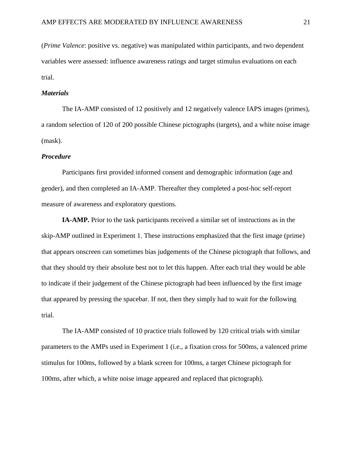(*Prime Valence*: positive vs. negative) was manipulated within participants, and two dependent variables were assessed: influence awareness ratings and target stimulus evaluations on each trial.

#### *Materials*

The IA-AMP consisted of 12 positively and 12 negatively valence IAPS images (primes), a random selection of 120 of 200 possible Chinese pictographs (targets), and a white noise image (mask).

#### *Procedure*

Participants first provided informed consent and demographic information (age and gender), and then completed an IA-AMP. Thereafter they completed a post-hoc self-report measure of awareness and exploratory questions.

**IA-AMP.** Prior to the task participants received a similar set of instructions as in the skip-AMP outlined in Experiment 1. These instructions emphasized that the first image (prime) that appears onscreen can sometimes bias judgements of the Chinese pictograph that follows, and that they should try their absolute best not to let this happen. After each trial they would be able to indicate if their judgement of the Chinese pictograph had been influenced by the first image that appeared by pressing the spacebar. If not, then they simply had to wait for the following trial.

The IA-AMP consisted of 10 practice trials followed by 120 critical trials with similar parameters to the AMPs used in Experiment 1 (i.e., a fixation cross for 500ms, a valenced prime stimulus for 100ms, followed by a blank screen for 100ms, a target Chinese pictograph for 100ms, after which, a white noise image appeared and replaced that pictograph).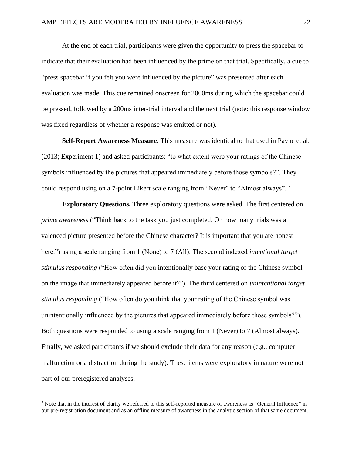At the end of each trial, participants were given the opportunity to press the spacebar to indicate that their evaluation had been influenced by the prime on that trial. Specifically, a cue to "press spacebar if you felt you were influenced by the picture" was presented after each evaluation was made. This cue remained onscreen for 2000ms during which the spacebar could be pressed, followed by a 200ms inter-trial interval and the next trial (note: this response window was fixed regardless of whether a response was emitted or not).

**Self-Report Awareness Measure.** This measure was identical to that used in Payne et al. (2013; Experiment 1) and asked participants: "to what extent were your ratings of the Chinese symbols influenced by the pictures that appeared immediately before those symbols?". They could respond using on a 7-point Likert scale ranging from "Never" to "Almost always".<sup>7</sup>

**Exploratory Questions.** Three exploratory questions were asked. The first centered on *prime awareness* ("Think back to the task you just completed. On how many trials was a valenced picture presented before the Chinese character? It is important that you are honest here.") using a scale ranging from 1 (None) to 7 (All). The second indexed *intentional target stimulus responding* ("How often did you intentionally base your rating of the Chinese symbol on the image that immediately appeared before it?"). The third centered on *unintentional target stimulus responding* ("How often do you think that your rating of the Chinese symbol was unintentionally influenced by the pictures that appeared immediately before those symbols?"). Both questions were responded to using a scale ranging from 1 (Never) to 7 (Almost always). Finally, we asked participants if we should exclude their data for any reason (e.g., computer malfunction or a distraction during the study). These items were exploratory in nature were not part of our preregistered analyses.

 $<sup>7</sup>$  Note that in the interest of clarity we referred to this self-reported measure of awareness as "General Influence" in</sup> our pre-registration document and as an offline measure of awareness in the analytic section of that same document.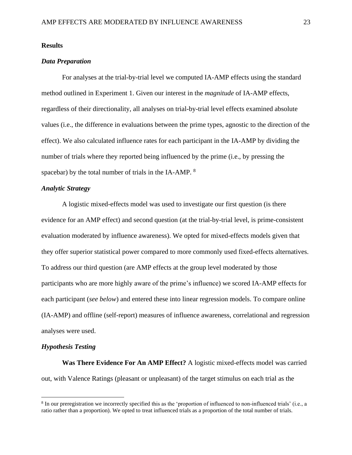#### **Results**

#### *Data Preparation*

For analyses at the trial-by-trial level we computed IA-AMP effects using the standard method outlined in Experiment 1. Given our interest in the *magnitude* of IA-AMP effects, regardless of their directionality, all analyses on trial-by-trial level effects examined absolute values (i.e., the difference in evaluations between the prime types, agnostic to the direction of the effect). We also calculated influence rates for each participant in the IA-AMP by dividing the number of trials where they reported being influenced by the prime (i.e., by pressing the spacebar) by the total number of trials in the IA-AMP. <sup>8</sup>

#### *Analytic Strategy*

A logistic mixed-effects model was used to investigate our first question (is there evidence for an AMP effect) and second question (at the trial-by-trial level, is prime-consistent evaluation moderated by influence awareness). We opted for mixed-effects models given that they offer superior statistical power compared to more commonly used fixed-effects alternatives. To address our third question (are AMP effects at the group level moderated by those participants who are more highly aware of the prime's influence) we scored IA-AMP effects for each participant (*see below*) and entered these into linear regression models. To compare online (IA-AMP) and offline (self-report) measures of influence awareness, correlational and regression analyses were used.

#### *Hypothesis Testing*

**Was There Evidence For An AMP Effect?** A logistic mixed-effects model was carried out, with Valence Ratings (pleasant or unpleasant) of the target stimulus on each trial as the

<sup>&</sup>lt;sup>8</sup> In our preregistration we incorrectly specified this as the 'proportion of influenced to non-influenced trials' (i.e., a ratio rather than a proportion). We opted to treat influenced trials as a proportion of the total number of trials.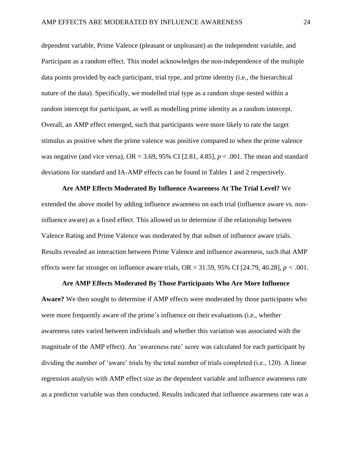dependent variable, Prime Valence (pleasant or unpleasant) as the independent variable, and Participant as a random effect. This model acknowledges the non-independence of the multiple data points provided by each participant, trial type, and prime identity (i.e., the hierarchical nature of the data). Specifically, we modelled trial type as a random slope nested within a random intercept for participant, as well as modelling prime identity as a random intercept. Overall, an AMP effect emerged, such that participants were more likely to rate the target stimulus as positive when the prime valence was positive compared to when the prime valence was negative (and vice versa), OR = 3.69, 95% CI [2.81, 4.85], *p* < .001. The mean and standard deviations for standard and IA-AMP effects can be found in Tables 1 and 2 respectively.

**Are AMP Effects Moderated By Influence Awareness At The Trial Level?** We extended the above model by adding influence awareness on each trial (influence aware vs. noninfluence aware) as a fixed effect. This allowed us to determine if the relationship between Valence Rating and Prime Valence was moderated by that subset of influence aware trials. Results revealed an interaction between Prime Valence and influence awareness, such that AMP effects were far stronger on influence aware trials,  $OR = 31.59$ , 95% CI [24.79, 40.28],  $p < .001$ .

#### **Are AMP Effects Moderated By Those Participants Who Are More Influence**

**Aware?** We then sought to determine if AMP effects were moderated by those participants who were more frequently aware of the prime's influence on their evaluations (i.e., whether awareness rates varied between individuals and whether this variation was associated with the magnitude of the AMP effect). An 'awareness rate' score was calculated for each participant by dividing the number of 'aware' trials by the total number of trials completed (i.e., 120). A linear regression analysis with AMP effect size as the dependent variable and influence awareness rate as a predictor variable was then conducted. Results indicated that influence awareness rate was a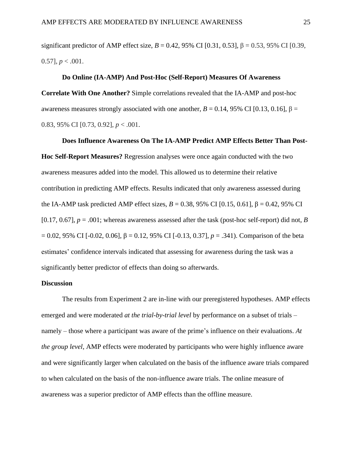significant predictor of AMP effect size,  $B = 0.42$ , 95% CI [0.31, 0.53],  $β = 0.53$ , 95% CI [0.39,  $0.57$ ],  $p < .001$ .

#### **Do Online (IA-AMP) And Post-Hoc (Self-Report) Measures Of Awareness**

**Correlate With One Another?** Simple correlations revealed that the IA-AMP and post-hoc awareness measures strongly associated with one another,  $B = 0.14$ , 95% CI [0.13, 0.16],  $β =$ 0.83, 95% CI [0.73, 0.92], *p* < .001.

#### **Does Influence Awareness On The IA-AMP Predict AMP Effects Better Than Post-**

**Hoc Self-Report Measures?** Regression analyses were once again conducted with the two awareness measures added into the model. This allowed us to determine their relative contribution in predicting AMP effects. Results indicated that only awareness assessed during the IA-AMP task predicted AMP effect sizes, *B* = 0.38, 95% CI [0.15, 0.61], β = 0.42, 95% CI [0.17, 0.67],  $p = .001$ ; whereas awareness assessed after the task (post-hoc self-report) did not, *B* = 0.02, 95% CI [-0.02, 0.06], β = 0.12, 95% CI [-0.13, 0.37], *p* = .341). Comparison of the beta estimates' confidence intervals indicated that assessing for awareness during the task was a significantly better predictor of effects than doing so afterwards.

#### **Discussion**

The results from Experiment 2 are in-line with our preregistered hypotheses. AMP effects emerged and were moderated *at the trial-by-trial level* by performance on a subset of trials – namely – those where a participant was aware of the prime's influence on their evaluations. *At the group level*, AMP effects were moderated by participants who were highly influence aware and were significantly larger when calculated on the basis of the influence aware trials compared to when calculated on the basis of the non-influence aware trials. The online measure of awareness was a superior predictor of AMP effects than the offline measure.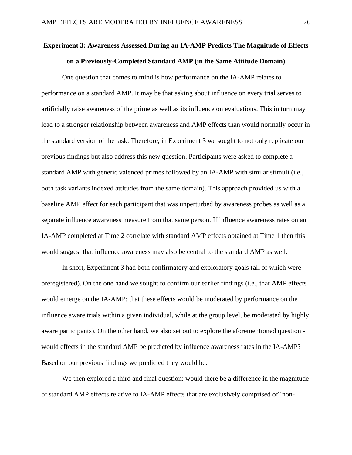## **Experiment 3: Awareness Assessed During an IA-AMP Predicts The Magnitude of Effects on a Previously-Completed Standard AMP (in the Same Attitude Domain)**

One question that comes to mind is how performance on the IA-AMP relates to performance on a standard AMP. It may be that asking about influence on every trial serves to artificially raise awareness of the prime as well as its influence on evaluations. This in turn may lead to a stronger relationship between awareness and AMP effects than would normally occur in the standard version of the task. Therefore, in Experiment 3 we sought to not only replicate our previous findings but also address this new question. Participants were asked to complete a standard AMP with generic valenced primes followed by an IA-AMP with similar stimuli (i.e., both task variants indexed attitudes from the same domain). This approach provided us with a baseline AMP effect for each participant that was unperturbed by awareness probes as well as a separate influence awareness measure from that same person. If influence awareness rates on an IA-AMP completed at Time 2 correlate with standard AMP effects obtained at Time 1 then this would suggest that influence awareness may also be central to the standard AMP as well.

In short, Experiment 3 had both confirmatory and exploratory goals (all of which were preregistered). On the one hand we sought to confirm our earlier findings (i.e., that AMP effects would emerge on the IA-AMP; that these effects would be moderated by performance on the influence aware trials within a given individual, while at the group level, be moderated by highly aware participants). On the other hand, we also set out to explore the aforementioned question would effects in the standard AMP be predicted by influence awareness rates in the IA-AMP? Based on our previous findings we predicted they would be.

We then explored a third and final question: would there be a difference in the magnitude of standard AMP effects relative to IA-AMP effects that are exclusively comprised of 'non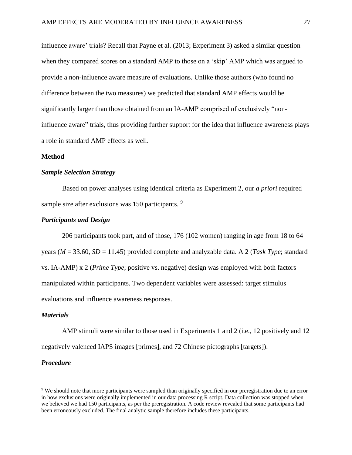influence aware' trials? Recall that Payne et al. (2013; Experiment 3) asked a similar question when they compared scores on a standard AMP to those on a 'skip' AMP which was argued to provide a non-influence aware measure of evaluations. Unlike those authors (who found no difference between the two measures) we predicted that standard AMP effects would be significantly larger than those obtained from an IA-AMP comprised of exclusively "noninfluence aware" trials, thus providing further support for the idea that influence awareness plays a role in standard AMP effects as well.

#### **Method**

#### *Sample Selection Strategy*

Based on power analyses using identical criteria as Experiment 2, our *a priori* required sample size after exclusions was 150 participants.<sup>9</sup>

#### *Participants and Design*

206 participants took part, and of those, 176 (102 women) ranging in age from 18 to 64 years (*M* = 33.60, *SD* = 11.45) provided complete and analyzable data. A 2 (*Task Type*; standard vs. IA-AMP) x 2 (*Prime Type*; positive vs. negative) design was employed with both factors manipulated within participants. Two dependent variables were assessed: target stimulus evaluations and influence awareness responses.

#### *Materials*

AMP stimuli were similar to those used in Experiments 1 and 2 (i.e., 12 positively and 12 negatively valenced IAPS images [primes], and 72 Chinese pictographs [targets]).

#### *Procedure*

<sup>9</sup> We should note that more participants were sampled than originally specified in our preregistration due to an error in how exclusions were originally implemented in our data processing R script. Data collection was stopped when we believed we had 150 participants, as per the preregistration. A code review revealed that some participants had been erroneously excluded. The final analytic sample therefore includes these participants.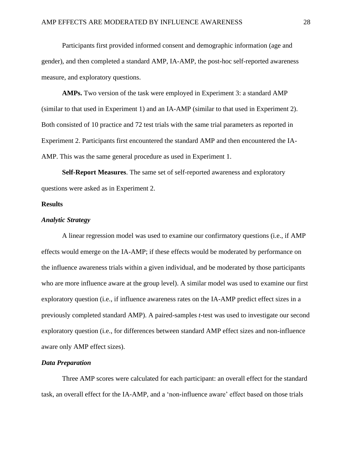Participants first provided informed consent and demographic information (age and gender), and then completed a standard AMP, IA-AMP, the post-hoc self-reported awareness measure, and exploratory questions.

**AMPs.** Two version of the task were employed in Experiment 3: a standard AMP (similar to that used in Experiment 1) and an IA-AMP (similar to that used in Experiment 2). Both consisted of 10 practice and 72 test trials with the same trial parameters as reported in Experiment 2. Participants first encountered the standard AMP and then encountered the IA-AMP. This was the same general procedure as used in Experiment 1.

**Self-Report Measures**. The same set of self-reported awareness and exploratory questions were asked as in Experiment 2.

#### **Results**

#### *Analytic Strategy*

A linear regression model was used to examine our confirmatory questions (i.e., if AMP effects would emerge on the IA-AMP; if these effects would be moderated by performance on the influence awareness trials within a given individual, and be moderated by those participants who are more influence aware at the group level). A similar model was used to examine our first exploratory question (i.e., if influence awareness rates on the IA-AMP predict effect sizes in a previously completed standard AMP). A paired-samples *t*-test was used to investigate our second exploratory question (i.e., for differences between standard AMP effect sizes and non-influence aware only AMP effect sizes).

#### *Data Preparation*

Three AMP scores were calculated for each participant: an overall effect for the standard task, an overall effect for the IA-AMP, and a 'non-influence aware' effect based on those trials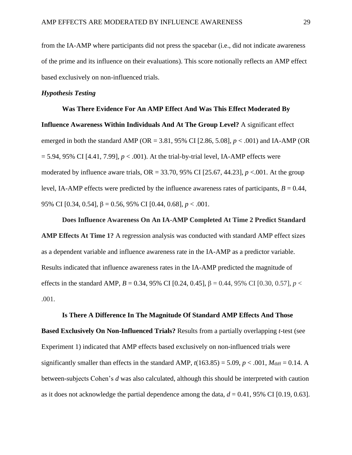from the IA-AMP where participants did not press the spacebar (i.e., did not indicate awareness of the prime and its influence on their evaluations). This score notionally reflects an AMP effect based exclusively on non-influenced trials.

#### *Hypothesis Testing*

# **Was There Evidence For An AMP Effect And Was This Effect Moderated By Influence Awareness Within Individuals And At The Group Level?** A significant effect emerged in both the standard AMP (OR = 3.81, 95% CI [2.86, 5.08], *p* < .001) and IA-AMP (OR  $= 5.94, 95\%$  CI [4.41, 7.99],  $p < .001$ ). At the trial-by-trial level, IA-AMP effects were moderated by influence aware trials,  $OR = 33.70$ ,  $95\%$  CI [25.67, 44.23],  $p < .001$ . At the group level, IA-AMP effects were predicted by the influence awareness rates of participants,  $B = 0.44$ , 95% CI [0.34, 0.54], β = 0.56, 95% CI [0.44, 0.68], *p* < .001.

#### **Does Influence Awareness On An IA-AMP Completed At Time 2 Predict Standard**

**AMP Effects At Time 1?** A regression analysis was conducted with standard AMP effect sizes as a dependent variable and influence awareness rate in the IA-AMP as a predictor variable. Results indicated that influence awareness rates in the IA-AMP predicted the magnitude of effects in the standard AMP,  $B = 0.34$ , 95% CI [0.24, 0.45],  $β = 0.44$ , 95% CI [0.30, 0.57],  $p <$ .001.

#### **Is There A Difference In The Magnitude Of Standard AMP Effects And Those**

**Based Exclusively On Non-Influenced Trials?** Results from a partially overlapping *t*-test (see Experiment 1) indicated that AMP effects based exclusively on non-influenced trials were significantly smaller than effects in the standard AMP,  $t(163.85) = 5.09$ ,  $p < .001$ ,  $M_{\text{diff}} = 0.14$ . A between-subjects Cohen's *d* was also calculated, although this should be interpreted with caution as it does not acknowledge the partial dependence among the data,  $d = 0.41$ , 95% CI [0.19, 0.63].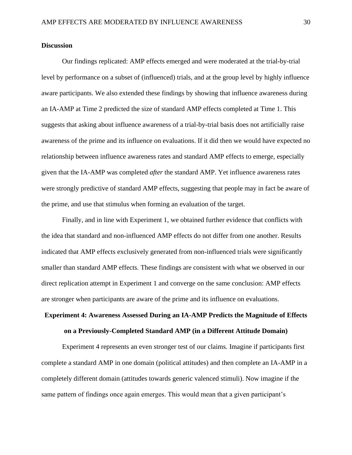#### **Discussion**

Our findings replicated: AMP effects emerged and were moderated at the trial-by-trial level by performance on a subset of (influenced) trials, and at the group level by highly influence aware participants. We also extended these findings by showing that influence awareness during an IA-AMP at Time 2 predicted the size of standard AMP effects completed at Time 1. This suggests that asking about influence awareness of a trial-by-trial basis does not artificially raise awareness of the prime and its influence on evaluations. If it did then we would have expected no relationship between influence awareness rates and standard AMP effects to emerge, especially given that the IA-AMP was completed *after* the standard AMP. Yet influence awareness rates were strongly predictive of standard AMP effects, suggesting that people may in fact be aware of the prime, and use that stimulus when forming an evaluation of the target.

Finally, and in line with Experiment 1, we obtained further evidence that conflicts with the idea that standard and non-influenced AMP effects do not differ from one another. Results indicated that AMP effects exclusively generated from non-influenced trials were significantly smaller than standard AMP effects. These findings are consistent with what we observed in our direct replication attempt in Experiment 1 and converge on the same conclusion: AMP effects are stronger when participants are aware of the prime and its influence on evaluations.

## **Experiment 4: Awareness Assessed During an IA-AMP Predicts the Magnitude of Effects on a Previously-Completed Standard AMP (in a Different Attitude Domain)**

Experiment 4 represents an even stronger test of our claims. Imagine if participants first complete a standard AMP in one domain (political attitudes) and then complete an IA-AMP in a completely different domain (attitudes towards generic valenced stimuli). Now imagine if the same pattern of findings once again emerges. This would mean that a given participant's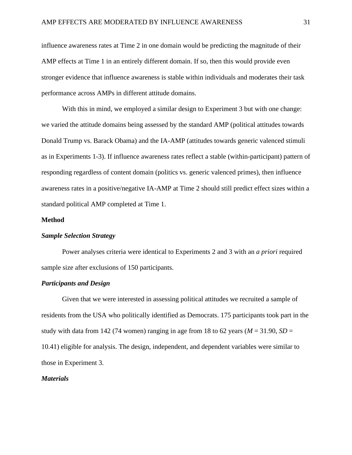influence awareness rates at Time 2 in one domain would be predicting the magnitude of their AMP effects at Time 1 in an entirely different domain. If so, then this would provide even stronger evidence that influence awareness is stable within individuals and moderates their task performance across AMPs in different attitude domains.

With this in mind, we employed a similar design to Experiment 3 but with one change: we varied the attitude domains being assessed by the standard AMP (political attitudes towards Donald Trump vs. Barack Obama) and the IA-AMP (attitudes towards generic valenced stimuli as in Experiments 1-3). If influence awareness rates reflect a stable (within-participant) pattern of responding regardless of content domain (politics vs. generic valenced primes), then influence awareness rates in a positive/negative IA-AMP at Time 2 should still predict effect sizes within a standard political AMP completed at Time 1.

#### **Method**

#### *Sample Selection Strategy*

Power analyses criteria were identical to Experiments 2 and 3 with an *a priori* required sample size after exclusions of 150 participants.

#### *Participants and Design*

Given that we were interested in assessing political attitudes we recruited a sample of residents from the USA who politically identified as Democrats. 175 participants took part in the study with data from 142 (74 women) ranging in age from 18 to 62 years  $(M = 31.90, SD =$ 10.41) eligible for analysis. The design, independent, and dependent variables were similar to those in Experiment 3.

#### *Materials*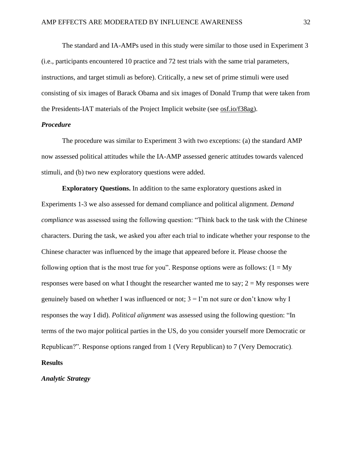The standard and IA-AMPs used in this study were similar to those used in Experiment 3 (i.e., participants encountered 10 practice and 72 test trials with the same trial parameters, instructions, and target stimuli as before). Critically, a new set of prime stimuli were used consisting of six images of Barack Obama and six images of Donald Trump that were taken from the Presidents-IAT materials of the Project Implicit website (see [osf.io/f38ag\)](https://osf.io/f38ag/).

#### *Procedure*

The procedure was similar to Experiment 3 with two exceptions: (a) the standard AMP now assessed political attitudes while the IA-AMP assessed generic attitudes towards valenced stimuli, and (b) two new exploratory questions were added.

**Exploratory Questions.** In addition to the same exploratory questions asked in Experiments 1-3 we also assessed for demand compliance and political alignment. *Demand compliance* was assessed using the following question: "Think back to the task with the Chinese characters. During the task, we asked you after each trial to indicate whether your response to the Chinese character was influenced by the image that appeared before it. Please choose the following option that is the most true for you". Response options were as follows:  $(1 = My)$ responses were based on what I thought the researcher wanted me to say;  $2 = My$  responses were genuinely based on whether I was influenced or not;  $3 = I'm$  not sure or don't know why I responses the way I did). *Political alignment* was assessed using the following question: "In terms of the two major political parties in the US, do you consider yourself more Democratic or Republican?". Response options ranged from 1 (Very Republican) to 7 (Very Democratic). **Results**

*Analytic Strategy*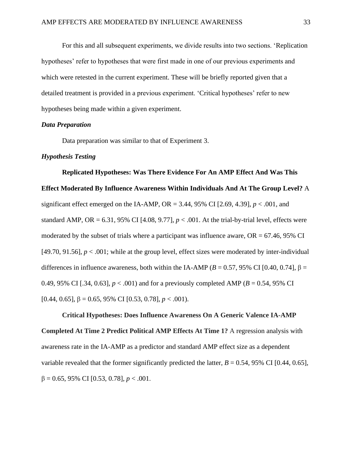For this and all subsequent experiments, we divide results into two sections. 'Replication hypotheses' refer to hypotheses that were first made in one of our previous experiments and which were retested in the current experiment. These will be briefly reported given that a detailed treatment is provided in a previous experiment. 'Critical hypotheses' refer to new hypotheses being made within a given experiment.

#### *Data Preparation*

Data preparation was similar to that of Experiment 3.

#### *Hypothesis Testing*

**Replicated Hypotheses: Was There Evidence For An AMP Effect And Was This Effect Moderated By Influence Awareness Within Individuals And At The Group Level?** A significant effect emerged on the IA-AMP,  $OR = 3.44$ , 95% CI [2.69, 4.39],  $p < .001$ , and standard AMP, OR = 6.31, 95% CI [4.08, 9.77],  $p < .001$ . At the trial-by-trial level, effects were moderated by the subset of trials where a participant was influence aware,  $OR = 67.46$ , 95% CI [49.70, 91.56],  $p < .001$ ; while at the group level, effect sizes were moderated by inter-individual differences in influence awareness, both within the IA-AMP ( $B = 0.57$ , 95% CI [0.40, 0.74],  $\beta =$ 0.49, 95% CI [.34, 0.63],  $p < .001$ ) and for a previously completed AMP ( $B = 0.54$ , 95% CI [0.44, 0.65],  $\beta = 0.65$ , 95% CI [0.53, 0.78],  $p < .001$ ).

# **Critical Hypotheses: Does Influence Awareness On A Generic Valence IA-AMP Completed At Time 2 Predict Political AMP Effects At Time 1?** A regression analysis with awareness rate in the IA-AMP as a predictor and standard AMP effect size as a dependent variable revealed that the former significantly predicted the latter,  $B = 0.54$ , 95% CI [0.44, 0.65], β = 0.65, 95% CI [0.53, 0.78], *p* < .001.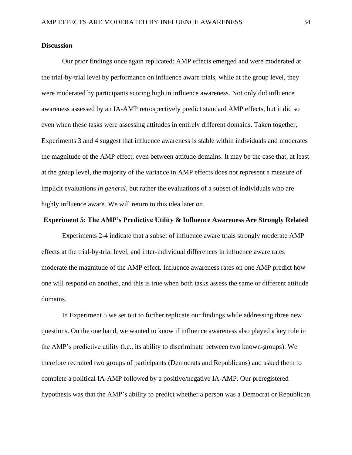#### **Discussion**

Our prior findings once again replicated: AMP effects emerged and were moderated at the trial-by-trial level by performance on influence aware trials, while at the group level, they were moderated by participants scoring high in influence awareness. Not only did influence awareness assessed by an IA-AMP retrospectively predict standard AMP effects, but it did so even when these tasks were assessing attitudes in entirely different domains. Taken together, Experiments 3 and 4 suggest that influence awareness is stable within individuals and moderates the magnitude of the AMP effect, even between attitude domains. It may be the case that, at least at the group level, the majority of the variance in AMP effects does not represent a measure of implicit evaluations *in general*, but rather the evaluations of a subset of individuals who are highly influence aware. We will return to this idea later on.

#### **Experiment 5: The AMP's Predictive Utility & Influence Awareness Are Strongly Related**

Experiments 2-4 indicate that a subset of influence aware trials strongly moderate AMP effects at the trial-by-trial level, and inter-individual differences in influence aware rates moderate the magnitude of the AMP effect. Influence awareness rates on one AMP predict how one will respond on another, and this is true when both tasks assess the same or different attitude domains.

In Experiment 5 we set out to further replicate our findings while addressing three new questions. On the one hand, we wanted to know if influence awareness also played a key role in the AMP's predictive utility (i.e., its ability to discriminate between two known-groups). We therefore recruited two groups of participants (Democrats and Republicans) and asked them to complete a political IA-AMP followed by a positive/negative IA-AMP. Our preregistered hypothesis was that the AMP's ability to predict whether a person was a Democrat or Republican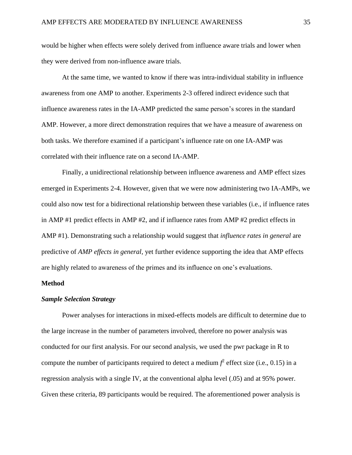would be higher when effects were solely derived from influence aware trials and lower when they were derived from non-influence aware trials.

At the same time, we wanted to know if there was intra-individual stability in influence awareness from one AMP to another. Experiments 2-3 offered indirect evidence such that influence awareness rates in the IA-AMP predicted the same person's scores in the standard AMP. However, a more direct demonstration requires that we have a measure of awareness on both tasks. We therefore examined if a participant's influence rate on one IA-AMP was correlated with their influence rate on a second IA-AMP.

Finally, a unidirectional relationship between influence awareness and AMP effect sizes emerged in Experiments 2-4. However, given that we were now administering two IA-AMPs, we could also now test for a bidirectional relationship between these variables (i.e., if influence rates in AMP #1 predict effects in AMP #2, and if influence rates from AMP #2 predict effects in AMP #1). Demonstrating such a relationship would suggest that *influence rates in general* are predictive of *AMP effects in general,* yet further evidence supporting the idea that AMP effects are highly related to awareness of the primes and its influence on one's evaluations.

#### **Method**

#### *Sample Selection Strategy*

Power analyses for interactions in mixed-effects models are difficult to determine due to the large increase in the number of parameters involved, therefore no power analysis was conducted for our first analysis. For our second analysis, we used the pwr package in R to compute the number of participants required to detect a medium  $f^2$  effect size (i.e., 0.15) in a regression analysis with a single IV, at the conventional alpha level (.05) and at 95% power. Given these criteria, 89 participants would be required. The aforementioned power analysis is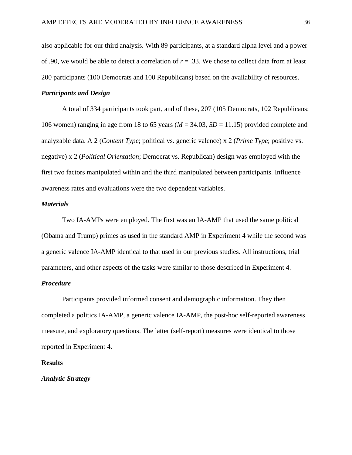also applicable for our third analysis. With 89 participants, at a standard alpha level and a power of .90, we would be able to detect a correlation of *r* = .33. We chose to collect data from at least 200 participants (100 Democrats and 100 Republicans) based on the availability of resources.

#### *Participants and Design*

A total of 334 participants took part, and of these, 207 (105 Democrats, 102 Republicans; 106 women) ranging in age from 18 to 65 years (*M* = 34.03, *SD* = 11.15) provided complete and analyzable data. A 2 (*Content Type*; political vs. generic valence) x 2 (*Prime Type*; positive vs. negative) x 2 (*Political Orientation*; Democrat vs. Republican) design was employed with the first two factors manipulated within and the third manipulated between participants. Influence awareness rates and evaluations were the two dependent variables.

#### *Materials*

Two IA-AMPs were employed. The first was an IA-AMP that used the same political (Obama and Trump) primes as used in the standard AMP in Experiment 4 while the second was a generic valence IA-AMP identical to that used in our previous studies. All instructions, trial parameters, and other aspects of the tasks were similar to those described in Experiment 4.

#### *Procedure*

Participants provided informed consent and demographic information. They then completed a politics IA-AMP, a generic valence IA-AMP, the post-hoc self-reported awareness measure, and exploratory questions. The latter (self-report) measures were identical to those reported in Experiment 4.

#### **Results**

#### *Analytic Strategy*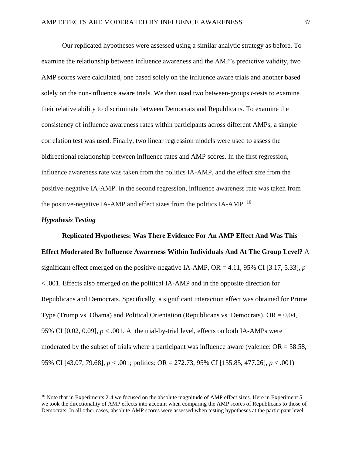Our replicated hypotheses were assessed using a similar analytic strategy as before. To examine the relationship between influence awareness and the AMP's predictive validity, two AMP scores were calculated, one based solely on the influence aware trials and another based solely on the non-influence aware trials. We then used two between-groups *t*-tests to examine their relative ability to discriminate between Democrats and Republicans. To examine the consistency of influence awareness rates within participants across different AMPs, a simple correlation test was used. Finally, two linear regression models were used to assess the bidirectional relationship between influence rates and AMP scores. In the first regression, influence awareness rate was taken from the politics IA-AMP, and the effect size from the positive-negative IA-AMP. In the second regression, influence awareness rate was taken from the positive-negative IA-AMP and effect sizes from the politics IA-AMP. <sup>10</sup>

## *Hypothesis Testing*

**Replicated Hypotheses: Was There Evidence For An AMP Effect And Was This Effect Moderated By Influence Awareness Within Individuals And At The Group Level?** A significant effect emerged on the positive-negative IA-AMP, OR = 4.11, 95% CI [3.17, 5.33], *p* < .001. Effects also emerged on the political IA-AMP and in the opposite direction for Republicans and Democrats. Specifically, a significant interaction effect was obtained for Prime Type (Trump vs. Obama) and Political Orientation (Republicans vs. Democrats),  $OR = 0.04$ , 95% CI  $[0.02, 0.09]$ ,  $p < .001$ . At the trial-by-trial level, effects on both IA-AMPs were moderated by the subset of trials where a participant was influence aware (valence:  $OR = 58.58$ , 95% CI [43.07, 79.68], *p* < .001; politics: OR = 272.73, 95% CI [155.85, 477.26], *p* < .001)

<sup>&</sup>lt;sup>10</sup> Note that in Experiments 2-4 we focused on the absolute magnitude of AMP effect sizes. Here in Experiment 5 we took the directionality of AMP effects into account when comparing the AMP scores of Republicans to those of Democrats. In all other cases, absolute AMP scores were assessed when testing hypotheses at the participant level.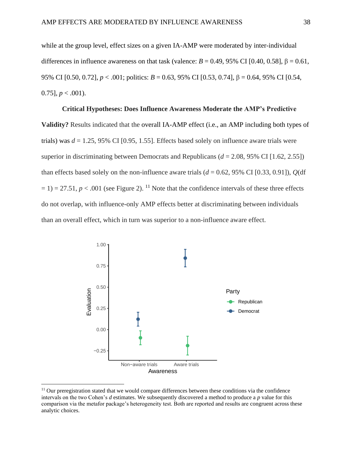while at the group level, effect sizes on a given IA-AMP were moderated by inter-individual differences in influence awareness on that task (valence:  $B = 0.49$ , 95% CI [0.40, 0.58],  $\beta = 0.61$ , 95% CI [0.50, 0.72], *p* < .001; politics: *B* = 0.63, 95% CI [0.53, 0.74], β = 0.64, 95% CI [0.54, 0.75],  $p < .001$ ).

#### **Critical Hypotheses: Does Influence Awareness Moderate the AMP's Predictive**

**Validity?** Results indicated that the overall IA-AMP effect (i.e., an AMP including both types of trials) was *d* = 1.25, 95% CI [0.95, 1.55]. Effects based solely on influence aware trials were superior in discriminating between Democrats and Republicans  $(d = 2.08, 95\% \text{ CI} [1.62, 2.55])$ than effects based solely on the non-influence aware trials  $(d = 0.62, 95\% \text{ CI} [0.33, 0.91]), Q(df$  $= 1$ ) = 27.51, *p* < .001 (see Figure 2). <sup>11</sup> Note that the confidence intervals of these three effects do not overlap, with influence-only AMP effects better at discriminating between individuals than an overall effect, which in turn was superior to a non-influence aware effect.



 $11$  Our preregistration stated that we would compare differences between these conditions via the confidence intervals on the two Cohen's *d* estimates. We subsequently discovered a method to produce a *p* value for this comparison via the metafor package's heterogeneity test. Both are reported and results are congruent across these analytic choices.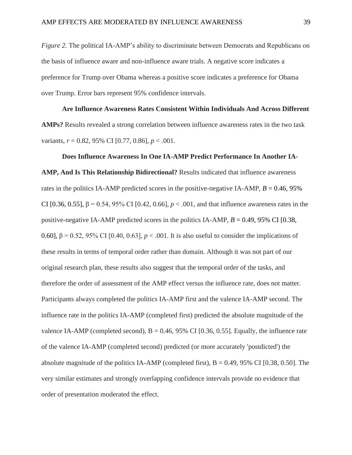*Figure 2.* The political IA-AMP's ability to discriminate between Democrats and Republicans on the basis of influence aware and non-influence aware trials. A negative score indicates a preference for Trump over Obama whereas a positive score indicates a preference for Obama over Trump. Error bars represent 95% confidence intervals.

# **Are Influence Awareness Rates Consistent Within Individuals And Across Different AMPs?** Results revealed a strong correlation between influence awareness rates in the two task variants, *r* = 0.82, 95% CI [0.77, 0.86], *p* < .001.

#### **Does Influence Awareness In One IA-AMP Predict Performance In Another IA-**

**AMP, And Is This Relationship Bidirectional?** Results indicated that influence awareness rates in the politics IA-AMP predicted scores in the positive-negative IA-AMP, *B* = 0.46, 95% CI [0.36, 0.55], β = 0.54, 95% CI [0.42, 0.66], *p* < .001, and that influence awareness rates in the positive-negative IA-AMP predicted scores in the politics IA-AMP, *B* = 0.49, 95% CI [0.38, 0.60], β = 0.52, 95% CI [0.40, 0.63], *p* < .001. It is also useful to consider the implications of these results in terms of temporal order rather than domain. Although it was not part of our original research plan, these results also suggest that the temporal order of the tasks, and therefore the order of assessment of the AMP effect versus the influence rate, does not matter. Participants always completed the politics IA-AMP first and the valence IA-AMP second. The influence rate in the politics IA-AMP (completed first) predicted the absolute magnitude of the valence IA-AMP (completed second),  $B = 0.46, 95\%$  CI [0.36, 0.55]. Equally, the influence rate of the valence IA-AMP (completed second) predicted (or more accurately 'postdicted') the absolute magnitude of the politics IA-AMP (completed first),  $B = 0.49$ , 95% CI [0.38, 0.50]. The very similar estimates and strongly overlapping confidence intervals provide no evidence that order of presentation moderated the effect.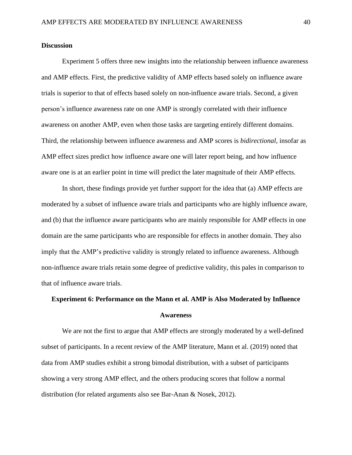## **Discussion**

Experiment 5 offers three new insights into the relationship between influence awareness and AMP effects. First, the predictive validity of AMP effects based solely on influence aware trials is superior to that of effects based solely on non-influence aware trials. Second, a given person's influence awareness rate on one AMP is strongly correlated with their influence awareness on another AMP, even when those tasks are targeting entirely different domains. Third, the relationship between influence awareness and AMP scores is *bidirectional*, insofar as AMP effect sizes predict how influence aware one will later report being, and how influence aware one is at an earlier point in time will predict the later magnitude of their AMP effects.

In short, these findings provide yet further support for the idea that (a) AMP effects are moderated by a subset of influence aware trials and participants who are highly influence aware, and (b) that the influence aware participants who are mainly responsible for AMP effects in one domain are the same participants who are responsible for effects in another domain. They also imply that the AMP's predictive validity is strongly related to influence awareness. Although non-influence aware trials retain some degree of predictive validity, this pales in comparison to that of influence aware trials.

## **Experiment 6: Performance on the Mann et al. AMP is Also Moderated by Influence Awareness**

We are not the first to argue that AMP effects are strongly moderated by a well-defined subset of participants. In a recent review of the AMP literature, Mann et al. (2019) noted that data from AMP studies exhibit a strong bimodal distribution, with a subset of participants showing a very strong AMP effect, and the others producing scores that follow a normal distribution (for related arguments also see Bar-Anan & Nosek, 2012).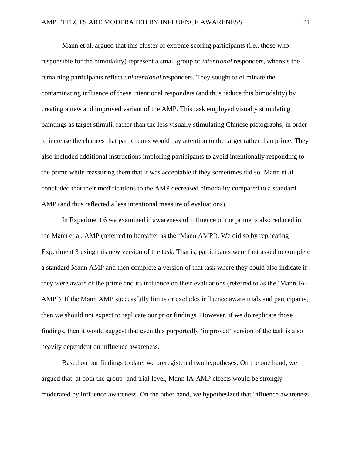Mann et al. argued that this cluster of extreme scoring participants (i.e., those who responsible for the bimodality) represent a small group of *intentional* responders, whereas the remaining participants reflect *unintentional* responders. They sought to eliminate the contaminating influence of these intentional responders (and thus reduce this bimodality) by creating a new and improved variant of the AMP. This task employed visually stimulating paintings as target stimuli, rather than the less visually stimulating Chinese pictographs, in order to increase the chances that participants would pay attention to the target rather than prime. They also included additional instructions imploring participants to avoid intentionally responding to the prime while reassuring them that it was acceptable if they sometimes did so. Mann et al. concluded that their modifications to the AMP decreased bimodality compared to a standard AMP (and thus reflected a less intentional measure of evaluations).

In Experiment 6 we examined if awareness of influence of the prime is also reduced in the Mann et al. AMP (referred to hereafter as the 'Mann AMP'). We did so by replicating Experiment 3 using this new version of the task. That is, participants were first asked to complete a standard Mann AMP and then complete a version of that task where they could also indicate if they were aware of the prime and its influence on their evaluations (referred to as the 'Mann IA-AMP'). If the Mann AMP successfully limits or excludes influence aware trials and participants, then we should not expect to replicate our prior findings. However, if we do replicate those findings, then it would suggest that even this purportedly 'improved' version of the task is also heavily dependent on influence awareness.

Based on our findings to date, we preregistered two hypotheses. On the one hand, we argued that, at both the group- and trial-level, Mann IA-AMP effects would be strongly moderated by influence awareness. On the other hand, we hypothesized that influence awareness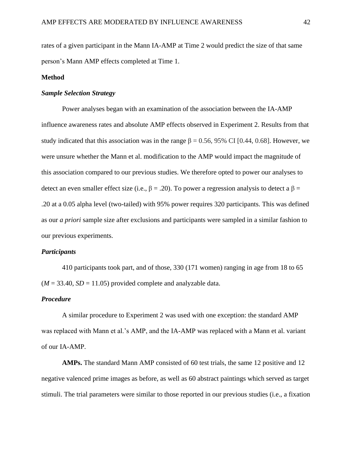rates of a given participant in the Mann IA-AMP at Time 2 would predict the size of that same person's Mann AMP effects completed at Time 1.

## **Method**

## *Sample Selection Strategy*

Power analyses began with an examination of the association between the IA-AMP influence awareness rates and absolute AMP effects observed in Experiment 2. Results from that study indicated that this association was in the range  $\beta = 0.56$ , 95% CI [0.44, 0.68]. However, we were unsure whether the Mann et al. modification to the AMP would impact the magnitude of this association compared to our previous studies. We therefore opted to power our analyses to detect an even smaller effect size (i.e., β = .20). To power a regression analysis to detect a β = .20 at a 0.05 alpha level (two-tailed) with 95% power requires 320 participants. This was defined as our *a priori* sample size after exclusions and participants were sampled in a similar fashion to our previous experiments.

#### *Participants*

410 participants took part, and of those, 330 (171 women) ranging in age from 18 to 65  $(M = 33.40, SD = 11.05)$  provided complete and analyzable data.

## *Procedure*

A similar procedure to Experiment 2 was used with one exception: the standard AMP was replaced with Mann et al.'s AMP, and the IA-AMP was replaced with a Mann et al. variant of our IA-AMP.

**AMPs.** The standard Mann AMP consisted of 60 test trials, the same 12 positive and 12 negative valenced prime images as before, as well as 60 abstract paintings which served as target stimuli. The trial parameters were similar to those reported in our previous studies (i.e., a fixation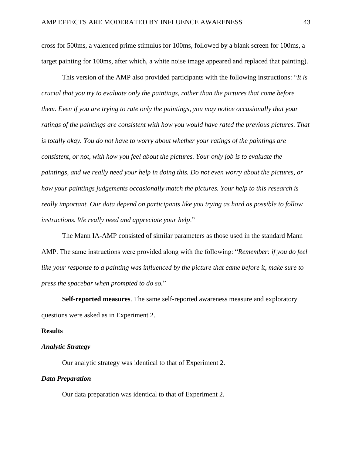cross for 500ms, a valenced prime stimulus for 100ms, followed by a blank screen for 100ms, a target painting for 100ms, after which, a white noise image appeared and replaced that painting).

This version of the AMP also provided participants with the following instructions: "*It is crucial that you try to evaluate only the paintings, rather than the pictures that come before them. Even if you are trying to rate only the paintings, you may notice occasionally that your ratings of the paintings are consistent with how you would have rated the previous pictures. That is totally okay. You do not have to worry about whether your ratings of the paintings are consistent, or not, with how you feel about the pictures. Your only job is to evaluate the paintings, and we really need your help in doing this. Do not even worry about the pictures, or how your paintings judgements occasionally match the pictures. Your help to this research is really important. Our data depend on participants like you trying as hard as possible to follow instructions. We really need and appreciate your help*."

The Mann IA-AMP consisted of similar parameters as those used in the standard Mann AMP. The same instructions were provided along with the following: "*Remember: if you do feel like your response to a painting was influenced by the picture that came before it, make sure to press the spacebar when prompted to do so.*"

**Self-reported measures**. The same self-reported awareness measure and exploratory questions were asked as in Experiment 2.

#### **Results**

### *Analytic Strategy*

Our analytic strategy was identical to that of Experiment 2.

## *Data Preparation*

Our data preparation was identical to that of Experiment 2.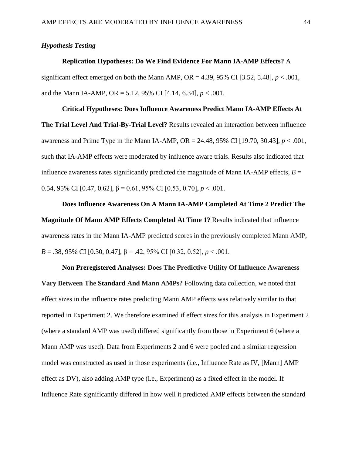## *Hypothesis Testing*

## **Replication Hypotheses: Do We Find Evidence For Mann IA-AMP Effects?** A

significant effect emerged on both the Mann AMP, OR = 4.39, 95% CI [3.52, 5.48],  $p < .001$ , and the Mann IA-AMP, OR = 5.12, 95% CI [4.14, 6.34],  $p < .001$ .

**Critical Hypotheses: Does Influence Awareness Predict Mann IA-AMP Effects At The Trial Level And Trial-By-Trial Level?** Results revealed an interaction between influence awareness and Prime Type in the Mann IA-AMP, OR = 24.48, 95% CI [19.70, 30.43], *p* < .001, such that IA-AMP effects were moderated by influence aware trials. Results also indicated that influence awareness rates significantly predicted the magnitude of Mann IA-AMP effects,  $B =$ 0.54, 95% CI [0.47, 0.62], β = 0.61, 95% CI [0.53, 0.70], *p* < .001.

**Does Influence Awareness On A Mann IA-AMP Completed At Time 2 Predict The Magnitude Of Mann AMP Effects Completed At Time 1?** Results indicated that influence awareness rates in the Mann IA-AMP predicted scores in the previously completed Mann AMP, *B* = .38, 95% CI [0.30, 0.47], β = .42, 95% CI [0.32, 0.52], *p* < .001.

**Non Preregistered Analyses: Does The Predictive Utility Of Influence Awareness Vary Between The Standard And Mann AMPs?** Following data collection, we noted that effect sizes in the influence rates predicting Mann AMP effects was relatively similar to that reported in Experiment 2. We therefore examined if effect sizes for this analysis in Experiment 2 (where a standard AMP was used) differed significantly from those in Experiment 6 (where a Mann AMP was used). Data from Experiments 2 and 6 were pooled and a similar regression model was constructed as used in those experiments (i.e., Influence Rate as IV, [Mann] AMP effect as DV), also adding AMP type (i.e., Experiment) as a fixed effect in the model. If Influence Rate significantly differed in how well it predicted AMP effects between the standard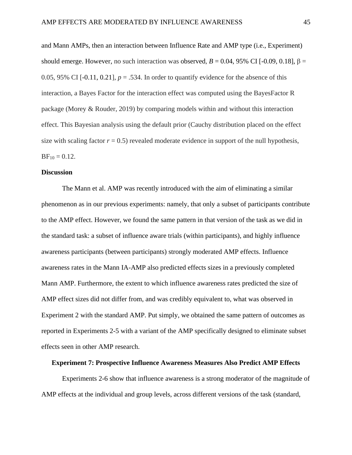and Mann AMPs, then an interaction between Influence Rate and AMP type (i.e., Experiment) should emerge. However, no such interaction was observed,  $B = 0.04$ , 95% CI [-0.09, 0.18],  $\beta =$ 0.05, 95% CI  $[-0.11, 0.21]$ ,  $p = .534$ . In order to quantify evidence for the absence of this interaction, a Bayes Factor for the interaction effect was computed using the BayesFactor R package (Morey & Rouder, 2019) by comparing models within and without this interaction effect. This Bayesian analysis using the default prior (Cauchy distribution placed on the effect size with scaling factor  $r = 0.5$ ) revealed moderate evidence in support of the null hypothesis,  $BF_{10} = 0.12$ .

#### **Discussion**

The Mann et al. AMP was recently introduced with the aim of eliminating a similar phenomenon as in our previous experiments: namely, that only a subset of participants contribute to the AMP effect. However, we found the same pattern in that version of the task as we did in the standard task: a subset of influence aware trials (within participants), and highly influence awareness participants (between participants) strongly moderated AMP effects. Influence awareness rates in the Mann IA-AMP also predicted effects sizes in a previously completed Mann AMP. Furthermore, the extent to which influence awareness rates predicted the size of AMP effect sizes did not differ from, and was credibly equivalent to, what was observed in Experiment 2 with the standard AMP. Put simply, we obtained the same pattern of outcomes as reported in Experiments 2-5 with a variant of the AMP specifically designed to eliminate subset effects seen in other AMP research.

#### **Experiment 7: Prospective Influence Awareness Measures Also Predict AMP Effects**

Experiments 2-6 show that influence awareness is a strong moderator of the magnitude of AMP effects at the individual and group levels, across different versions of the task (standard,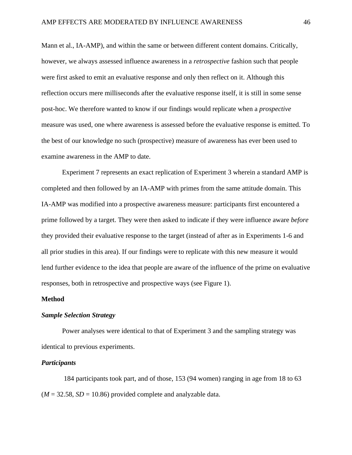Mann et al., IA-AMP), and within the same or between different content domains. Critically, however, we always assessed influence awareness in a *retrospective* fashion such that people were first asked to emit an evaluative response and only then reflect on it. Although this reflection occurs mere milliseconds after the evaluative response itself, it is still in some sense post-hoc. We therefore wanted to know if our findings would replicate when a *prospective* measure was used, one where awareness is assessed before the evaluative response is emitted. To the best of our knowledge no such (prospective) measure of awareness has ever been used to examine awareness in the AMP to date.

Experiment 7 represents an exact replication of Experiment 3 wherein a standard AMP is completed and then followed by an IA-AMP with primes from the same attitude domain. This IA-AMP was modified into a prospective awareness measure: participants first encountered a prime followed by a target. They were then asked to indicate if they were influence aware *before* they provided their evaluative response to the target (instead of after as in Experiments 1-6 and all prior studies in this area). If our findings were to replicate with this new measure it would lend further evidence to the idea that people are aware of the influence of the prime on evaluative responses, both in retrospective and prospective ways (see Figure 1).

## **Method**

## *Sample Selection Strategy*

Power analyses were identical to that of Experiment 3 and the sampling strategy was identical to previous experiments.

## *Participants*

184 participants took part, and of those, 153 (94 women) ranging in age from 18 to 63  $(M = 32.58, SD = 10.86)$  provided complete and analyzable data.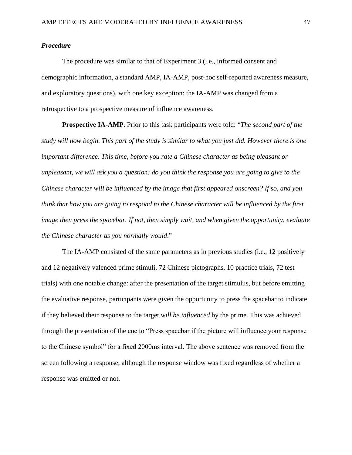## *Procedure*

The procedure was similar to that of Experiment 3 (i.e., informed consent and demographic information, a standard AMP, IA-AMP, post-hoc self-reported awareness measure, and exploratory questions), with one key exception: the IA-AMP was changed from a retrospective to a prospective measure of influence awareness.

**Prospective IA-AMP.** Prior to this task participants were told: "*The second part of the study will now begin. This part of the study is similar to what you just did. However there is one important difference. This time, before you rate a Chinese character as being pleasant or unpleasant, we will ask you a question: do you think the response you are going to give to the Chinese character will be influenced by the image that first appeared onscreen? If so, and you think that how you are going to respond to the Chinese character will be influenced by the first image then press the spacebar. If not, then simply wait, and when given the opportunity, evaluate the Chinese character as you normally would*."

The IA-AMP consisted of the same parameters as in previous studies (i.e., 12 positively and 12 negatively valenced prime stimuli, 72 Chinese pictographs, 10 practice trials, 72 test trials) with one notable change: after the presentation of the target stimulus, but before emitting the evaluative response, participants were given the opportunity to press the spacebar to indicate if they believed their response to the target *will be influenced* by the prime. This was achieved through the presentation of the cue to "Press spacebar if the picture will influence your response to the Chinese symbol" for a fixed 2000ms interval. The above sentence was removed from the screen following a response, although the response window was fixed regardless of whether a response was emitted or not.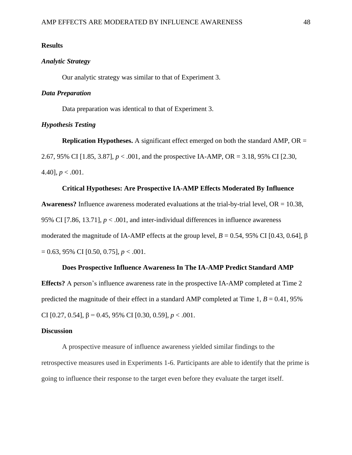## **Results**

## *Analytic Strategy*

Our analytic strategy was similar to that of Experiment 3.

## *Data Preparation*

Data preparation was identical to that of Experiment 3.

## *Hypothesis Testing*

**Replication Hypotheses.** A significant effect emerged on both the standard AMP, OR = 2.67, 95% CI [1.85, 3.87], *p* < .001, and the prospective IA-AMP, OR = 3.18, 95% CI [2.30, 4.40],  $p < .001$ .

## **Critical Hypotheses: Are Prospective IA-AMP Effects Moderated By Influence**

**Awareness?** Influence awareness moderated evaluations at the trial-by-trial level, OR = 10.38, 95% CI  $[7.86, 13.71]$ ,  $p < .001$ , and inter-individual differences in influence awareness moderated the magnitude of IA-AMP effects at the group level,  $B = 0.54$ , 95% CI [0.43, 0.64], β = 0.63, 95% CI [0.50, 0.75], *p* < .001.

## **Does Prospective Influence Awareness In The IA-AMP Predict Standard AMP**

**Effects?** A person's influence awareness rate in the prospective IA-AMP completed at Time 2 predicted the magnitude of their effect in a standard AMP completed at Time  $1, B = 0.41, 95\%$ CI [0.27, 0.54], β = 0.45, 95% CI [0.30, 0.59], *p* < .001.

#### **Discussion**

A prospective measure of influence awareness yielded similar findings to the retrospective measures used in Experiments 1-6. Participants are able to identify that the prime is going to influence their response to the target even before they evaluate the target itself.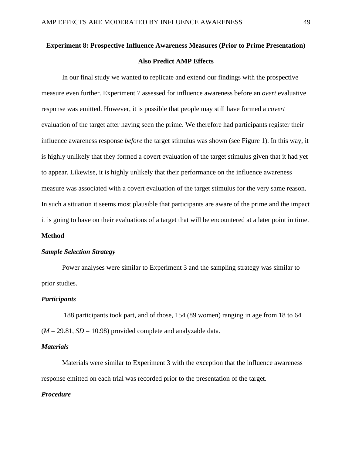## **Experiment 8: Prospective Influence Awareness Measures (Prior to Prime Presentation) Also Predict AMP Effects**

In our final study we wanted to replicate and extend our findings with the prospective measure even further. Experiment 7 assessed for influence awareness before an *overt* evaluative response was emitted. However, it is possible that people may still have formed a *covert*  evaluation of the target after having seen the prime. We therefore had participants register their influence awareness response *before* the target stimulus was shown (see Figure 1). In this way, it is highly unlikely that they formed a covert evaluation of the target stimulus given that it had yet to appear. Likewise, it is highly unlikely that their performance on the influence awareness measure was associated with a covert evaluation of the target stimulus for the very same reason. In such a situation it seems most plausible that participants are aware of the prime and the impact it is going to have on their evaluations of a target that will be encountered at a later point in time.

## **Method**

#### *Sample Selection Strategy*

Power analyses were similar to Experiment 3 and the sampling strategy was similar to prior studies.

#### *Participants*

188 participants took part, and of those, 154 (89 women) ranging in age from 18 to 64  $(M = 29.81, SD = 10.98)$  provided complete and analyzable data.

## *Materials*

Materials were similar to Experiment 3 with the exception that the influence awareness response emitted on each trial was recorded prior to the presentation of the target.

## *Procedure*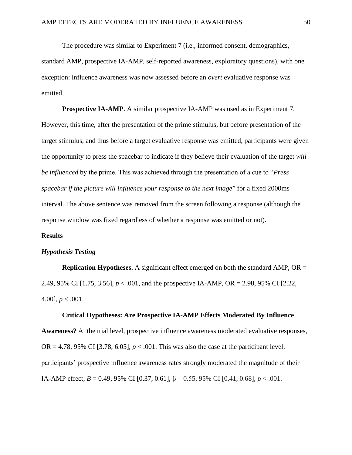The procedure was similar to Experiment 7 (i.e., informed consent, demographics, standard AMP, prospective IA-AMP, self-reported awareness, exploratory questions), with one exception: influence awareness was now assessed before an *overt* evaluative response was emitted.

**Prospective IA-AMP**. A similar prospective IA-AMP was used as in Experiment 7. However, this time, after the presentation of the prime stimulus, but before presentation of the target stimulus, and thus before a target evaluative response was emitted, participants were given the opportunity to press the spacebar to indicate if they believe their evaluation of the target *will be influenced* by the prime. This was achieved through the presentation of a cue to "*Press spacebar if the picture will influence your response to the next image*" for a fixed 2000ms interval. The above sentence was removed from the screen following a response (although the response window was fixed regardless of whether a response was emitted or not).

#### **Results**

#### *Hypothesis Testing*

**Replication Hypotheses.** A significant effect emerged on both the standard AMP, OR = 2.49, 95% CI [1.75, 3.56], *p* < .001, and the prospective IA-AMP, OR = 2.98, 95% CI [2.22, 4.00],  $p < .001$ .

#### **Critical Hypotheses: Are Prospective IA-AMP Effects Moderated By Influence**

**Awareness?** At the trial level, prospective influence awareness moderated evaluative responses, OR = 4.78, 95% CI [3.78, 6.05],  $p < .001$ . This was also the case at the participant level: participants' prospective influence awareness rates strongly moderated the magnitude of their IA-AMP effect, *B* = 0.49, 95% CI [0.37, 0.61], β = 0.55, 95% CI [0.41, 0.68], *p* < .001.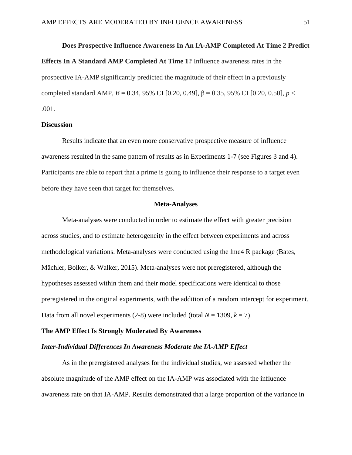## **Does Prospective Influence Awareness In An IA-AMP Completed At Time 2 Predict**

**Effects In A Standard AMP Completed At Time 1?** Influence awareness rates in the prospective IA-AMP significantly predicted the magnitude of their effect in a previously completed standard AMP, *B* = 0.34, 95% CI [0.20, 0.49], β = 0.35, 95% CI [0.20, 0.50], *p* < .001.

#### **Discussion**

Results indicate that an even more conservative prospective measure of influence awareness resulted in the same pattern of results as in Experiments 1-7 (see Figures 3 and 4). Participants are able to report that a prime is going to influence their response to a target even before they have seen that target for themselves.

#### **Meta-Analyses**

Meta-analyses were conducted in order to estimate the effect with greater precision across studies, and to estimate heterogeneity in the effect between experiments and across methodological variations. Meta-analyses were conducted using the lme4 R package (Bates, Mächler, Bolker, & Walker, 2015). Meta-analyses were not preregistered, although the hypotheses assessed within them and their model specifications were identical to those preregistered in the original experiments, with the addition of a random intercept for experiment. Data from all novel experiments (2-8) were included (total  $N = 1309$ ,  $k = 7$ ).

#### **The AMP Effect Is Strongly Moderated By Awareness**

### *Inter-Individual Differences In Awareness Moderate the IA-AMP Effect*

As in the preregistered analyses for the individual studies, we assessed whether the absolute magnitude of the AMP effect on the IA-AMP was associated with the influence awareness rate on that IA-AMP. Results demonstrated that a large proportion of the variance in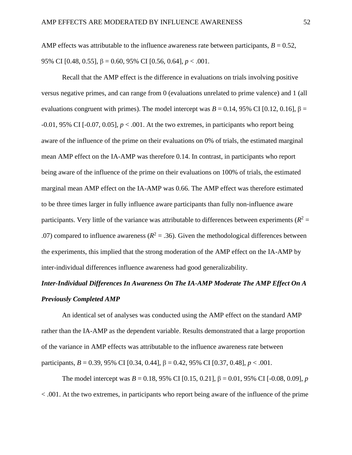AMP effects was attributable to the influence awareness rate between participants,  $B = 0.52$ , 95% CI [0.48, 0.55], β = 0.60, 95% CI [0.56, 0.64], *p* < .001.

Recall that the AMP effect is the difference in evaluations on trials involving positive versus negative primes, and can range from 0 (evaluations unrelated to prime valence) and 1 (all evaluations congruent with primes). The model intercept was  $B = 0.14$ , 95% CI [0.12, 0.16], β =  $-0.01$ , 95% CI  $[-0.07, 0.05]$ ,  $p < .001$ . At the two extremes, in participants who report being aware of the influence of the prime on their evaluations on 0% of trials, the estimated marginal mean AMP effect on the IA-AMP was therefore 0.14. In contrast, in participants who report being aware of the influence of the prime on their evaluations on 100% of trials, the estimated marginal mean AMP effect on the IA-AMP was 0.66. The AMP effect was therefore estimated to be three times larger in fully influence aware participants than fully non-influence aware participants. Very little of the variance was attributable to differences between experiments  $(R^2 =$ .07) compared to influence awareness ( $R^2 = .36$ ). Given the methodological differences between the experiments, this implied that the strong moderation of the AMP effect on the IA-AMP by inter-individual differences influence awareness had good generalizability.

## *Inter-Individual Differences In Awareness On The IA-AMP Moderate The AMP Effect On A Previously Completed AMP*

An identical set of analyses was conducted using the AMP effect on the standard AMP rather than the IA-AMP as the dependent variable. Results demonstrated that a large proportion of the variance in AMP effects was attributable to the influence awareness rate between participants, *B* = 0.39, 95% CI [0.34, 0.44], β = 0.42, 95% CI [0.37, 0.48], *p* < .001.

The model intercept was  $B = 0.18$ , 95% CI [0.15, 0.21],  $\beta = 0.01$ , 95% CI [-0.08, 0.09], *p* < .001. At the two extremes, in participants who report being aware of the influence of the prime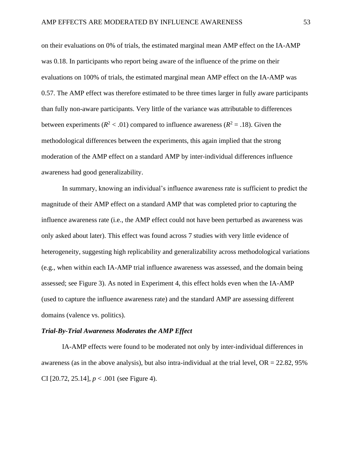on their evaluations on 0% of trials, the estimated marginal mean AMP effect on the IA-AMP was 0.18. In participants who report being aware of the influence of the prime on their evaluations on 100% of trials, the estimated marginal mean AMP effect on the IA-AMP was 0.57. The AMP effect was therefore estimated to be three times larger in fully aware participants than fully non-aware participants. Very little of the variance was attributable to differences between experiments ( $R^2$  < .01) compared to influence awareness ( $R^2$  = .18). Given the methodological differences between the experiments, this again implied that the strong moderation of the AMP effect on a standard AMP by inter-individual differences influence awareness had good generalizability.

In summary, knowing an individual's influence awareness rate is sufficient to predict the magnitude of their AMP effect on a standard AMP that was completed prior to capturing the influence awareness rate (i.e., the AMP effect could not have been perturbed as awareness was only asked about later). This effect was found across 7 studies with very little evidence of heterogeneity, suggesting high replicability and generalizability across methodological variations (e.g., when within each IA-AMP trial influence awareness was assessed, and the domain being assessed; see Figure 3). As noted in Experiment 4, this effect holds even when the IA-AMP (used to capture the influence awareness rate) and the standard AMP are assessing different domains (valence vs. politics).

## *Trial-By-Trial Awareness Moderates the AMP Effect*

IA-AMP effects were found to be moderated not only by inter-individual differences in awareness (as in the above analysis), but also intra-individual at the trial level,  $OR = 22.82, 95\%$ CI [20.72, 25.14], *p* < .001 (see Figure 4).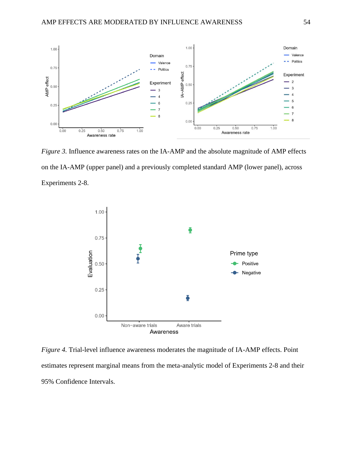

*Figure 3.* Influence awareness rates on the IA-AMP and the absolute magnitude of AMP effects on the IA-AMP (upper panel) and a previously completed standard AMP (lower panel), across Experiments 2-8.



*Figure 4.* Trial-level influence awareness moderates the magnitude of IA-AMP effects. Point estimates represent marginal means from the meta-analytic model of Experiments 2-8 and their 95% Confidence Intervals.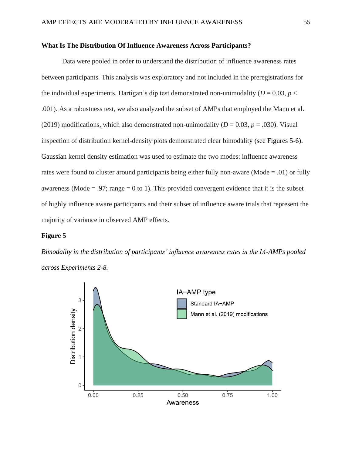## **What Is The Distribution Of Influence Awareness Across Participants?**

Data were pooled in order to understand the distribution of influence awareness rates between participants. This analysis was exploratory and not included in the preregistrations for the individual experiments. Hartigan's dip test demonstrated non-unimodality ( $D = 0.03$ ,  $p <$ .001). As a robustness test, we also analyzed the subset of AMPs that employed the Mann et al. (2019) modifications, which also demonstrated non-unimodality ( $D = 0.03$ ,  $p = .030$ ). Visual inspection of distribution kernel-density plots demonstrated clear bimodality (see Figures 5-6). Gaussian kernel density estimation was used to estimate the two modes: influence awareness rates were found to cluster around participants being either fully non-aware (Mode = .01) or fully awareness (Mode = .97; range = 0 to 1). This provided convergent evidence that it is the subset of highly influence aware participants and their subset of influence aware trials that represent the majority of variance in observed AMP effects.

#### **Figure 5**

*Bimodality in the distribution of participants' influence awareness rates in the IA-AMPs pooled across Experiments 2-8.*

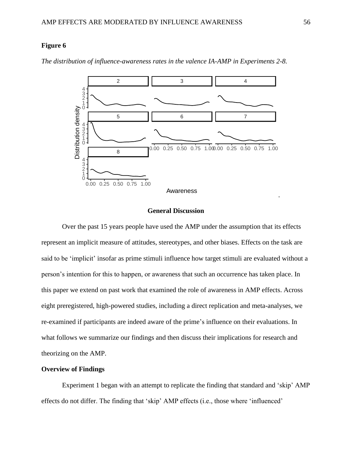## **Figure 6**

2 3 4 4 2 3 1 Distribution density 0 Distribution density5 6 7 2 3 4 1 0 0.00 0.25 0.50 0.75 1.000.00 0.25 0.50 0.75 1.00 8 4 2 3 1 0 0.00 0.25 0.50 0.75 1.00 Awareness

*The distribution of influence-awareness rates in the valence IA-AMP in Experiments 2-8.*

#### **General Discussion**

Over the past 15 years people have used the AMP under the assumption that its effects represent an implicit measure of attitudes, stereotypes, and other biases. Effects on the task are said to be 'implicit' insofar as prime stimuli influence how target stimuli are evaluated without a person's intention for this to happen, or awareness that such an occurrence has taken place. In this paper we extend on past work that examined the role of awareness in AMP effects. Across eight preregistered, high-powered studies, including a direct replication and meta-analyses, we re-examined if participants are indeed aware of the prime's influence on their evaluations. In what follows we summarize our findings and then discuss their implications for research and theorizing on the AMP.

## **Overview of Findings**

Experiment 1 began with an attempt to replicate the finding that standard and 'skip' AMP effects do not differ. The finding that 'skip' AMP effects (i.e., those where 'influenced'

*.*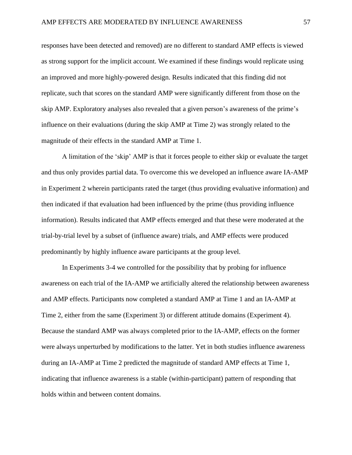responses have been detected and removed) are no different to standard AMP effects is viewed as strong support for the implicit account. We examined if these findings would replicate using an improved and more highly-powered design. Results indicated that this finding did not replicate, such that scores on the standard AMP were significantly different from those on the skip AMP. Exploratory analyses also revealed that a given person's awareness of the prime's influence on their evaluations (during the skip AMP at Time 2) was strongly related to the magnitude of their effects in the standard AMP at Time 1.

A limitation of the 'skip' AMP is that it forces people to either skip or evaluate the target and thus only provides partial data. To overcome this we developed an influence aware IA-AMP in Experiment 2 wherein participants rated the target (thus providing evaluative information) and then indicated if that evaluation had been influenced by the prime (thus providing influence information). Results indicated that AMP effects emerged and that these were moderated at the trial-by-trial level by a subset of (influence aware) trials, and AMP effects were produced predominantly by highly influence aware participants at the group level.

In Experiments 3-4 we controlled for the possibility that by probing for influence awareness on each trial of the IA-AMP we artificially altered the relationship between awareness and AMP effects. Participants now completed a standard AMP at Time 1 and an IA-AMP at Time 2, either from the same (Experiment 3) or different attitude domains (Experiment 4). Because the standard AMP was always completed prior to the IA-AMP, effects on the former were always unperturbed by modifications to the latter. Yet in both studies influence awareness during an IA-AMP at Time 2 predicted the magnitude of standard AMP effects at Time 1, indicating that influence awareness is a stable (within-participant) pattern of responding that holds within and between content domains.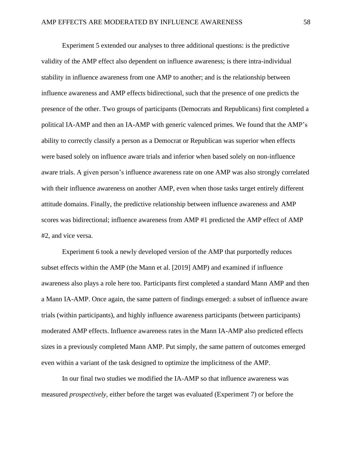Experiment 5 extended our analyses to three additional questions: is the predictive validity of the AMP effect also dependent on influence awareness; is there intra-individual stability in influence awareness from one AMP to another; and is the relationship between influence awareness and AMP effects bidirectional, such that the presence of one predicts the presence of the other. Two groups of participants (Democrats and Republicans) first completed a political IA-AMP and then an IA-AMP with generic valenced primes. We found that the AMP's ability to correctly classify a person as a Democrat or Republican was superior when effects were based solely on influence aware trials and inferior when based solely on non-influence aware trials. A given person's influence awareness rate on one AMP was also strongly correlated with their influence awareness on another AMP, even when those tasks target entirely different attitude domains. Finally, the predictive relationship between influence awareness and AMP scores was bidirectional; influence awareness from AMP #1 predicted the AMP effect of AMP #2, and vice versa.

Experiment 6 took a newly developed version of the AMP that purportedly reduces subset effects within the AMP (the Mann et al. [2019] AMP) and examined if influence awareness also plays a role here too. Participants first completed a standard Mann AMP and then a Mann IA-AMP. Once again, the same pattern of findings emerged: a subset of influence aware trials (within participants), and highly influence awareness participants (between participants) moderated AMP effects. Influence awareness rates in the Mann IA-AMP also predicted effects sizes in a previously completed Mann AMP. Put simply, the same pattern of outcomes emerged even within a variant of the task designed to optimize the implicitness of the AMP.

In our final two studies we modified the IA-AMP so that influence awareness was measured *prospectively*, either before the target was evaluated (Experiment 7) or before the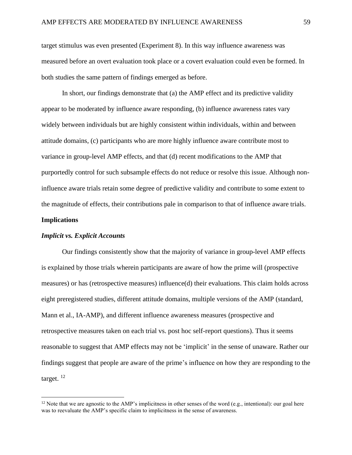target stimulus was even presented (Experiment 8). In this way influence awareness was measured before an overt evaluation took place or a covert evaluation could even be formed. In both studies the same pattern of findings emerged as before.

In short, our findings demonstrate that (a) the AMP effect and its predictive validity appear to be moderated by influence aware responding, (b) influence awareness rates vary widely between individuals but are highly consistent within individuals, within and between attitude domains, (c) participants who are more highly influence aware contribute most to variance in group-level AMP effects, and that (d) recent modifications to the AMP that purportedly control for such subsample effects do not reduce or resolve this issue. Although noninfluence aware trials retain some degree of predictive validity and contribute to some extent to the magnitude of effects, their contributions pale in comparison to that of influence aware trials.

#### **Implications**

## *Implicit vs. Explicit Accounts*

Our findings consistently show that the majority of variance in group-level AMP effects is explained by those trials wherein participants are aware of how the prime will (prospective measures) or has (retrospective measures) influence(d) their evaluations. This claim holds across eight preregistered studies, different attitude domains, multiple versions of the AMP (standard, Mann et al., IA-AMP), and different influence awareness measures (prospective and retrospective measures taken on each trial vs. post hoc self-report questions). Thus it seems reasonable to suggest that AMP effects may not be 'implicit' in the sense of unaware. Rather our findings suggest that people are aware of the prime's influence on how they are responding to the target.<sup>12</sup>

<sup>&</sup>lt;sup>12</sup> Note that we are agnostic to the AMP's implicitness in other senses of the word (e.g., intentional): our goal here was to reevaluate the AMP's specific claim to implicitness in the sense of awareness.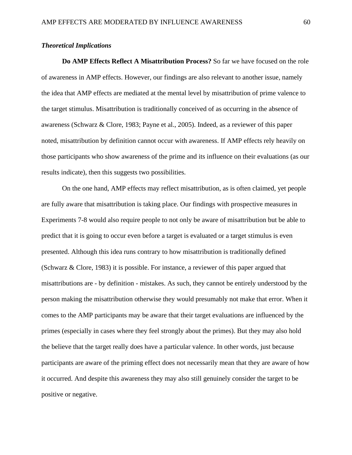## *Theoretical Implications*

**Do AMP Effects Reflect A Misattribution Process?** So far we have focused on the role of awareness in AMP effects. However, our findings are also relevant to another issue, namely the idea that AMP effects are mediated at the mental level by misattribution of prime valence to the target stimulus. Misattribution is traditionally conceived of as occurring in the absence of awareness (Schwarz & Clore, 1983; Payne et al., 2005). Indeed, as a reviewer of this paper noted, misattribution by definition cannot occur with awareness. If AMP effects rely heavily on those participants who show awareness of the prime and its influence on their evaluations (as our results indicate), then this suggests two possibilities.

On the one hand, AMP effects may reflect misattribution, as is often claimed, yet people are fully aware that misattribution is taking place. Our findings with prospective measures in Experiments 7-8 would also require people to not only be aware of misattribution but be able to predict that it is going to occur even before a target is evaluated or a target stimulus is even presented. Although this idea runs contrary to how misattribution is traditionally defined (Schwarz & Clore, 1983) it is possible. For instance, a reviewer of this paper argued that misattributions are - by definition - mistakes. As such, they cannot be entirely understood by the person making the misattribution otherwise they would presumably not make that error. When it comes to the AMP participants may be aware that their target evaluations are influenced by the primes (especially in cases where they feel strongly about the primes). But they may also hold the believe that the target really does have a particular valence. In other words, just because participants are aware of the priming effect does not necessarily mean that they are aware of how it occurred. And despite this awareness they may also still genuinely consider the target to be positive or negative.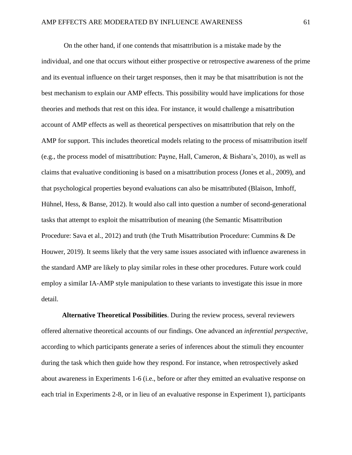On the other hand, if one contends that misattribution is a mistake made by the individual, and one that occurs without either prospective or retrospective awareness of the prime and its eventual influence on their target responses, then it may be that misattribution is not the best mechanism to explain our AMP effects. This possibility would have implications for those theories and methods that rest on this idea. For instance, it would challenge a misattribution account of AMP effects as well as theoretical perspectives on misattribution that rely on the AMP for support. This includes theoretical models relating to the process of misattribution itself (e.g., the process model of misattribution: Payne, Hall, Cameron, & Bishara's, 2010), as well as claims that evaluative conditioning is based on a misattribution process (Jones et al., 2009), and that psychological properties beyond evaluations can also be misattributed (Blaison, Imhoff, Hühnel, Hess, & Banse, 2012). It would also call into question a number of second-generational tasks that attempt to exploit the misattribution of meaning (the Semantic Misattribution Procedure: Sava et al., 2012) and truth (the Truth Misattribution Procedure: Cummins & De Houwer, 2019). It seems likely that the very same issues associated with influence awareness in the standard AMP are likely to play similar roles in these other procedures. Future work could employ a similar IA-AMP style manipulation to these variants to investigate this issue in more detail.

**Alternative Theoretical Possibilities**. During the review process, several reviewers offered alternative theoretical accounts of our findings. One advanced an *inferential perspective*, according to which participants generate a series of inferences about the stimuli they encounter during the task which then guide how they respond. For instance, when retrospectively asked about awareness in Experiments 1-6 (i.e., before or after they emitted an evaluative response on each trial in Experiments 2-8, or in lieu of an evaluative response in Experiment 1), participants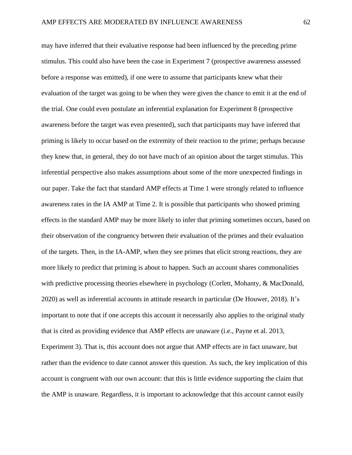may have inferred that their evaluative response had been influenced by the preceding prime stimulus. This could also have been the case in Experiment 7 (prospective awareness assessed before a response was emitted), if one were to assume that participants knew what their evaluation of the target was going to be when they were given the chance to emit it at the end of the trial. One could even postulate an inferential explanation for Experiment 8 (prospective awareness before the target was even presented), such that participants may have inferred that priming is likely to occur based on the extremity of their reaction to the prime; perhaps because they knew that, in general, they do not have much of an opinion about the target stimulus. This inferential perspective also makes assumptions about some of the more unexpected findings in our paper. Take the fact that standard AMP effects at Time 1 were strongly related to influence awareness rates in the IA AMP at Time 2. It is possible that participants who showed priming effects in the standard AMP may be more likely to infer that priming sometimes occurs, based on their observation of the congruency between their evaluation of the primes and their evaluation of the targets. Then, in the IA-AMP, when they see primes that elicit strong reactions, they are more likely to predict that priming is about to happen. Such an account shares commonalities with predictive processing theories elsewhere in psychology (Corlett, Mohanty, & MacDonald, 2020) as well as inferential accounts in attitude research in particular (De Houwer, 2018). It's important to note that if one accepts this account it necessarily also applies to the original study that is cited as providing evidence that AMP effects are unaware (i.e., Payne et al. 2013, Experiment 3). That is, this account does not argue that AMP effects are in fact unaware, but rather than the evidence to date cannot answer this question. As such, the key implication of this account is congruent with our own account: that this is little evidence supporting the claim that the AMP is unaware. Regardless, it is important to acknowledge that this account cannot easily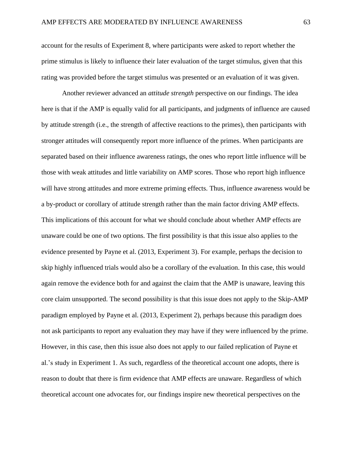account for the results of Experiment 8, where participants were asked to report whether the prime stimulus is likely to influence their later evaluation of the target stimulus, given that this rating was provided before the target stimulus was presented or an evaluation of it was given.

Another reviewer advanced an *attitude strength* perspective on our findings. The idea here is that if the AMP is equally valid for all participants, and judgments of influence are caused by attitude strength (i.e., the strength of affective reactions to the primes), then participants with stronger attitudes will consequently report more influence of the primes. When participants are separated based on their influence awareness ratings, the ones who report little influence will be those with weak attitudes and little variability on AMP scores. Those who report high influence will have strong attitudes and more extreme priming effects. Thus, influence awareness would be a by-product or corollary of attitude strength rather than the main factor driving AMP effects. This implications of this account for what we should conclude about whether AMP effects are unaware could be one of two options. The first possibility is that this issue also applies to the evidence presented by Payne et al. (2013, Experiment 3). For example, perhaps the decision to skip highly influenced trials would also be a corollary of the evaluation. In this case, this would again remove the evidence both for and against the claim that the AMP is unaware, leaving this core claim unsupported. The second possibility is that this issue does not apply to the Skip-AMP paradigm employed by Payne et al. (2013, Experiment 2), perhaps because this paradigm does not ask participants to report any evaluation they may have if they were influenced by the prime. However, in this case, then this issue also does not apply to our failed replication of Payne et al.'s study in Experiment 1. As such, regardless of the theoretical account one adopts, there is reason to doubt that there is firm evidence that AMP effects are unaware. Regardless of which theoretical account one advocates for, our findings inspire new theoretical perspectives on the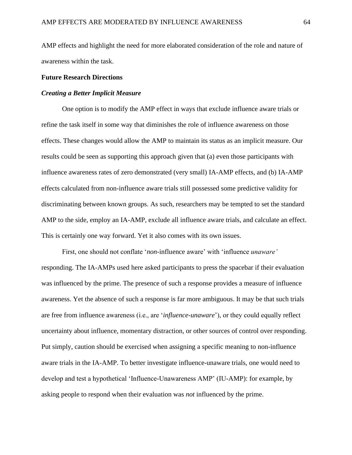AMP effects and highlight the need for more elaborated consideration of the role and nature of awareness within the task.

## **Future Research Directions**

## *Creating a Better Implicit Measure*

One option is to modify the AMP effect in ways that exclude influence aware trials or refine the task itself in some way that diminishes the role of influence awareness on those effects. These changes would allow the AMP to maintain its status as an implicit measure. Our results could be seen as supporting this approach given that (a) even those participants with influence awareness rates of zero demonstrated (very small) IA-AMP effects, and (b) IA-AMP effects calculated from non-influence aware trials still possessed some predictive validity for discriminating between known groups. As such, researchers may be tempted to set the standard AMP to the side, employ an IA-AMP, exclude all influence aware trials, and calculate an effect. This is certainly one way forward. Yet it also comes with its own issues.

First, one should not conflate '*non*-influence aware' with 'influence *unaware'* responding. The IA-AMPs used here asked participants to press the spacebar if their evaluation was influenced by the prime. The presence of such a response provides a measure of influence awareness. Yet the absence of such a response is far more ambiguous. It may be that such trials are free from influence awareness (i.e., are '*influence-unaware*'), or they could equally reflect uncertainty about influence, momentary distraction, or other sources of control over responding. Put simply, caution should be exercised when assigning a specific meaning to non-influence aware trials in the IA-AMP. To better investigate influence-unaware trials, one would need to develop and test a hypothetical 'Influence-Unawareness AMP' (IU-AMP): for example, by asking people to respond when their evaluation was *not* influenced by the prime.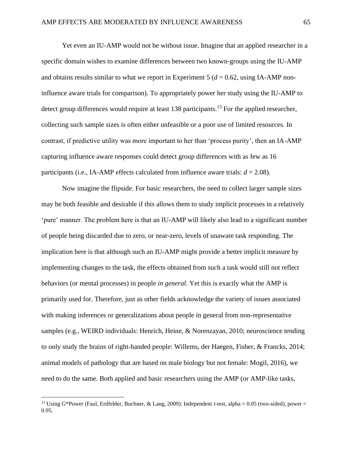Yet even an IU-AMP would not be without issue. Imagine that an applied researcher in a specific domain wishes to examine differences between two known-groups using the IU-AMP and obtains results similar to what we report in Experiment 5 ( $d = 0.62$ , using IA-AMP noninfluence aware trials for comparison). To appropriately power her study using the IU-AMP to detect group differences would require at least 138 participants.<sup>13</sup> For the applied researcher, collecting such sample sizes is often either unfeasible or a poor use of limited resources. In contrast, if predictive utility was more important to her than 'process purity', then an IA-AMP capturing influence aware responses could detect group differences with as few as 16 participants (i.e., IA-AMP effects calculated from influence aware trials:  $d = 2.08$ ).

Now imagine the flipside. For basic researchers, the need to collect larger sample sizes may be both feasible and desirable if this allows them to study implicit processes in a relatively 'pure' manner. The problem here is that an IU-AMP will likely also lead to a significant number of people being discarded due to zero, or near-zero, levels of unaware task responding. The implication here is that although such an IU-AMP might provide a better implicit measure by implementing changes to the task, the effects obtained from such a task would still not reflect behaviors (or mental processes) in people *in general*. Yet this is exactly what the AMP is primarily used for. Therefore, just as other fields acknowledge the variety of issues associated with making inferences or generalizations about people in general from non-representative samples (e.g., WEIRD individuals: Henrich, Heine, & Norenzayan, 2010; neuroscience tending to only study the brains of right-handed people: Willems, der Haegen, Fisher, & Francks, 2014; animal models of pathology that are based on male biology but not female: Mogil, 2016), we need to do the same. Both applied and basic researchers using the AMP (or AMP-like tasks,

<sup>13</sup> Using G\*Power (Faul, Erdfelder, Buchner, & Lang, 2009): Independent *t*-test, alpha = 0.05 (two-sided), power = 0.95.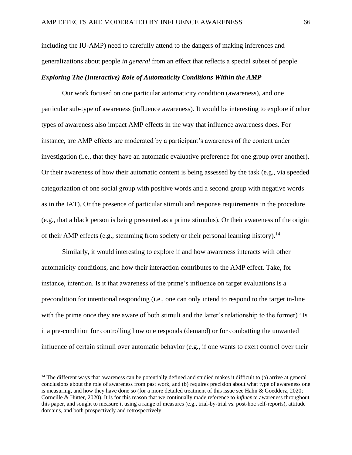including the IU-AMP) need to carefully attend to the dangers of making inferences and generalizations about people *in general* from an effect that reflects a special subset of people.

## *Exploring The (Interactive) Role of Automaticity Conditions Within the AMP*

Our work focused on one particular automaticity condition (awareness), and one particular sub-type of awareness (influence awareness). It would be interesting to explore if other types of awareness also impact AMP effects in the way that influence awareness does. For instance, are AMP effects are moderated by a participant's awareness of the content under investigation (i.e., that they have an automatic evaluative preference for one group over another). Or their awareness of how their automatic content is being assessed by the task (e.g., via speeded categorization of one social group with positive words and a second group with negative words as in the IAT). Or the presence of particular stimuli and response requirements in the procedure (e.g., that a black person is being presented as a prime stimulus). Or their awareness of the origin of their AMP effects (e.g., stemming from society or their personal learning history).<sup>14</sup>

Similarly, it would interesting to explore if and how awareness interacts with other automaticity conditions, and how their interaction contributes to the AMP effect. Take, for instance, intention. Is it that awareness of the prime's influence on target evaluations is a precondition for intentional responding (i.e., one can only intend to respond to the target in-line with the prime once they are aware of both stimuli and the latter's relationship to the former)? Is it a pre-condition for controlling how one responds (demand) or for combatting the unwanted influence of certain stimuli over automatic behavior (e.g., if one wants to exert control over their

<sup>&</sup>lt;sup>14</sup> The different ways that awareness can be potentially defined and studied makes it difficult to (a) arrive at general conclusions about the role of awareness from past work, and (b) requires precision about what type of awareness one is measuring, and how they have done so (for a more detailed treatment of this issue see Hahn & Goedderz, 2020; Corneille & Hütter, 2020). It is for this reason that we continually made reference to *influence* awareness throughout this paper, and sought to measure it using a range of measures (e.g., trial-by-trial vs. post-hoc self-reports), attitude domains, and both prospectively and retrospectively.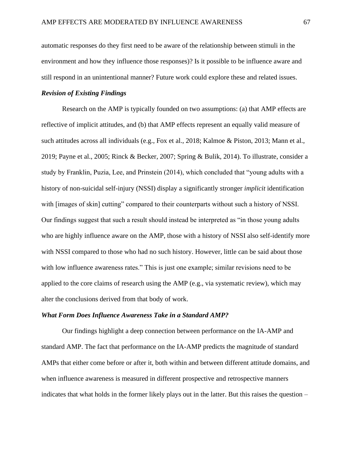automatic responses do they first need to be aware of the relationship between stimuli in the environment and how they influence those responses)? Is it possible to be influence aware and still respond in an unintentional manner? Future work could explore these and related issues.

## *Revision of Existing Findings*

Research on the AMP is typically founded on two assumptions: (a) that AMP effects are reflective of implicit attitudes, and (b) that AMP effects represent an equally valid measure of such attitudes across all individuals (e.g., Fox et al., 2018; Kalmoe & Piston, 2013; Mann et al., 2019; Payne et al., 2005; Rinck & Becker, 2007; Spring & Bulik, 2014). To illustrate, consider a study by Franklin, Puzia, Lee, and Prinstein (2014), which concluded that "young adults with a history of non-suicidal self-injury (NSSI) display a significantly stronger *implicit* identification with [images of skin] cutting" compared to their counterparts without such a history of NSSI. Our findings suggest that such a result should instead be interpreted as "in those young adults who are highly influence aware on the AMP, those with a history of NSSI also self-identify more with NSSI compared to those who had no such history. However, little can be said about those with low influence awareness rates." This is just one example; similar revisions need to be applied to the core claims of research using the AMP (e.g., via systematic review), which may alter the conclusions derived from that body of work.

## *What Form Does Influence Awareness Take in a Standard AMP?*

Our findings highlight a deep connection between performance on the IA-AMP and standard AMP. The fact that performance on the IA-AMP predicts the magnitude of standard AMPs that either come before or after it, both within and between different attitude domains, and when influence awareness is measured in different prospective and retrospective manners indicates that what holds in the former likely plays out in the latter. But this raises the question –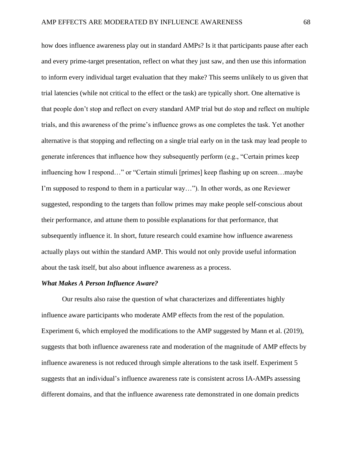how does influence awareness play out in standard AMPs? Is it that participants pause after each and every prime-target presentation, reflect on what they just saw, and then use this information to inform every individual target evaluation that they make? This seems unlikely to us given that trial latencies (while not critical to the effect or the task) are typically short. One alternative is that people don't stop and reflect on every standard AMP trial but do stop and reflect on multiple trials, and this awareness of the prime's influence grows as one completes the task. Yet another alternative is that stopping and reflecting on a single trial early on in the task may lead people to generate inferences that influence how they subsequently perform (e.g., "Certain primes keep influencing how I respond…" or "Certain stimuli [primes] keep flashing up on screen…maybe I'm supposed to respond to them in a particular way…"). In other words, as one Reviewer suggested, responding to the targets than follow primes may make people self-conscious about their performance, and attune them to possible explanations for that performance, that subsequently influence it. In short, future research could examine how influence awareness actually plays out within the standard AMP. This would not only provide useful information about the task itself, but also about influence awareness as a process.

### *What Makes A Person Influence Aware?*

Our results also raise the question of what characterizes and differentiates highly influence aware participants who moderate AMP effects from the rest of the population. Experiment 6, which employed the modifications to the AMP suggested by Mann et al. (2019), suggests that both influence awareness rate and moderation of the magnitude of AMP effects by influence awareness is not reduced through simple alterations to the task itself. Experiment 5 suggests that an individual's influence awareness rate is consistent across IA-AMPs assessing different domains, and that the influence awareness rate demonstrated in one domain predicts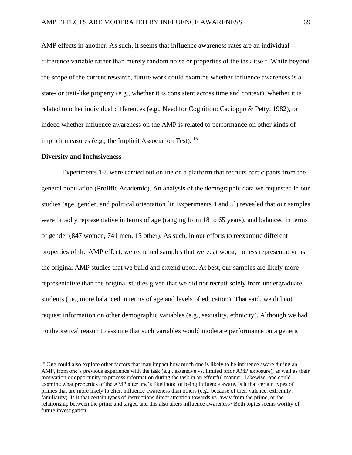AMP effects in another. As such, it seems that influence awareness rates are an individual difference variable rather than merely random noise or properties of the task itself. While beyond the scope of the current research, future work could examine whether influence awareness is a state- or trait-like property (e.g., whether it is consistent across time and context), whether it is related to other individual differences (e.g., Need for Cognition: Cacioppo & Petty, 1982), or indeed whether influence awareness on the AMP is related to performance on other kinds of implicit measures (e.g., the Implicit Association Test). <sup>15</sup>

#### **Diversity and Inclusiveness**

Experiments 1-8 were carried out online on a platform that recruits participants from the general population (Prolific Academic). An analysis of the demographic data we requested in our studies (age, gender, and political orientation [in Experiments 4 and 5]) revealed that our samples were broadly representative in terms of age (ranging from 18 to 65 years), and balanced in terms of gender (847 women, 741 men, 15 other). As such, in our efforts to reexamine different properties of the AMP effect, we recruited samples that were, at worst, no less representative as the original AMP studies that we build and extend upon. At best, our samples are likely more representative than the original studies given that we did not recruit solely from undergraduate students (i.e., more balanced in terms of age and levels of education). That said, we did not request information on other demographic variables (e.g., sexuality, ethnicity). Although we had no theoretical reason to assume that such variables would moderate performance on a generic

<sup>&</sup>lt;sup>15</sup> One could also explore other factors that may impact how much one is likely to be influence aware during an AMP, from one's previous experience with the task (e.g., extensive vs. limited prior AMP exposure), as well as their motivation or opportunity to process information during the task in an effortful manner. Likewise, one could examine what properties of the AMP alter one's likelihood of being influence aware. Is it that certain types of primes that are more likely to elicit influence awareness than others (e.g., because of their valence, extremity, familiarity). Is it that certain types of instructions direct attention towards vs. away from the prime, or the relationship between the prime and target, and this also alters influence awareness? Both topics seems worthy of future investigation.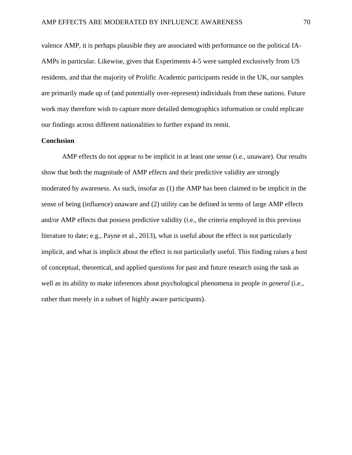valence AMP, it is perhaps plausible they are associated with performance on the political IA-AMPs in particular. Likewise, given that Experiments 4-5 were sampled exclusively from US residents, and that the majority of Prolific Academic participants reside in the UK, our samples are primarily made up of (and potentially over-represent) individuals from these nations. Future work may therefore wish to capture more detailed demographics information or could replicate our findings across different nationalities to further expand its remit.

## **Conclusion**

AMP effects do not appear to be implicit in at least one sense (i.e., unaware). Our results show that both the magnitude of AMP effects and their predictive validity are strongly moderated by awareness. As such, insofar as (1) the AMP has been claimed to be implicit in the sense of being (influence) unaware and (2) utility can be defined in terms of large AMP effects and/or AMP effects that possess predictive validity (i.e., the criteria employed in this previous literature to date; e.g., Payne et al., 2013), what is useful about the effect is not particularly implicit, and what is implicit about the effect is not particularly useful. This finding raises a host of conceptual, theoretical, and applied questions for past and future research using the task as well as its ability to make inferences about psychological phenomena in people *in general* (i.e., rather than merely in a subset of highly aware participants).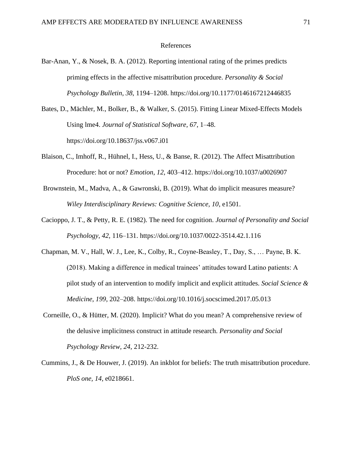## References

- Bar-Anan, Y., & Nosek, B. A. (2012). Reporting intentional rating of the primes predicts priming effects in the affective misattribution procedure. *Personality & Social Psychology Bulletin*, *38*, 1194–1208[.](https://doi.org/10.1177/0146167212446835) <https://doi.org/10.1177/0146167212446835>
- Bates, D., Mächler, M., Bolker, B., & Walker, S. (2015). Fitting Linear Mixed-Effects Models Using lme4. *Journal of Statistical Software, 67*, 1–48. https://doi.org/10.18637/jss.v067.i01
- Blaison, C., Imhoff, R., Hühnel, I., Hess, U., & Banse, R. (2012). The Affect Misattribution Procedure: hot or not? *Emotion*, *12*, 403–412[.](https://doi.org/10.1037/a0026907) <https://doi.org/10.1037/a0026907>
- Brownstein, M., Madva, A., & Gawronski, B. (2019). What do implicit measures measure? *Wiley Interdisciplinary Reviews: Cognitive Science, 10*, e1501.
- Cacioppo, J. T., & Petty, R. E. (1982). The need for cognition. *Journal of Personality and Social Psychology*, *42*, 116–131. <https://doi.org/10.1037/0022-3514.42.1.116>
- Chapman, M. V., Hall, W. J., Lee, K., Colby, R., Coyne-Beasley, T., Day, S., … Payne, B. K. (2018). Making a difference in medical trainees' attitudes toward Latino patients: A pilot study of an intervention to modify implicit and explicit attitudes. *Social Science & Medicine*, *199*, 202–208[.](https://doi.org/10.1016/j.socscimed.2017.05.013) <https://doi.org/10.1016/j.socscimed.2017.05.013>
- Corneille, O., & Hütter, M. (2020). Implicit? What do you mean? A comprehensive review of the delusive implicitness construct in attitude research. *Personality and Social Psychology Review, 24*, 212-232.
- Cummins, J., & De Houwer, J. (2019). An inkblot for beliefs: The truth misattribution procedure. *PloS one, 14*, e0218661.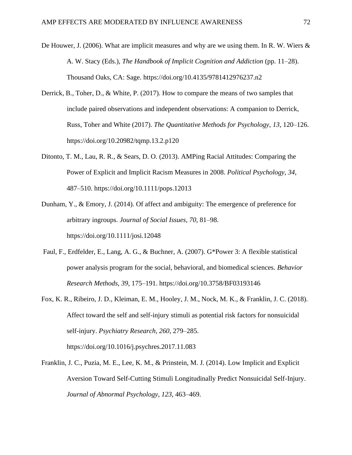- De Houwer, J. (2006). What are implicit measures and why are we using them. In R. W. Wiers  $\&$ A. W. Stacy (Eds.), *The Handbook of Implicit Cognition and Addiction* (pp. 11–28). Thousand Oaks, CA: Sage. <https://doi.org/10.4135/9781412976237.n2>
- Derrick, B., Toher, D., & White, P. (2017). How to compare the means of two samples that include paired observations and independent observations: A companion to Derrick, Russ, Toher and White (2017). *The Quantitative Methods for Psychology*, *13*, 120–126[.](https://doi.org/10.20982/tqmp.13.2.p120) <https://doi.org/10.20982/tqmp.13.2.p120>
- Ditonto, T. M., Lau, R. R., & Sears, D. O. (2013). AMPing Racial Attitudes: Comparing the Power of Explicit and Implicit Racism Measures in 2008. *Political Psychology*, *34*, 487–510.<https://doi.org/10.1111/pops.12013>
- Dunham, Y., & Emory, J. (2014). Of affect and ambiguity: The emergence of preference for arbitrary ingroups. *Journal of Social Issues*, *70*, 81–98[.](https://doi.org/10.1111/josi.12048) <https://doi.org/10.1111/josi.12048>
- Faul, F., Erdfelder, E., Lang, A. G., & Buchner, A. (2007). G\*Power 3: A flexible statistical power analysis program for the social, behavioral, and biomedical sciences. *Behavior Research Methods, 39*, 175–191.<https://doi.org/10.3758/BF03193146>
- Fox, K. R., Ribeiro, J. D., Kleiman, E. M., Hooley, J. M., Nock, M. K., & Franklin, J. C. (2018). Affect toward the self and self-injury stimuli as potential risk factors for nonsuicidal self-injury. *Psychiatry Research*, *260*, 279–285[.](https://doi.org/10.1016/j.psychres.2017.11.083) <https://doi.org/10.1016/j.psychres.2017.11.083>
- Franklin, J. C., Puzia, M. E., Lee, K. M., & Prinstein, M. J. (2014). Low Implicit and Explicit Aversion Toward Self-Cutting Stimuli Longitudinally Predict Nonsuicidal Self-Injury. *Journal of Abnormal Psychology*, *123*, 463–469[.](https://doi.org/10.1037/a0036436)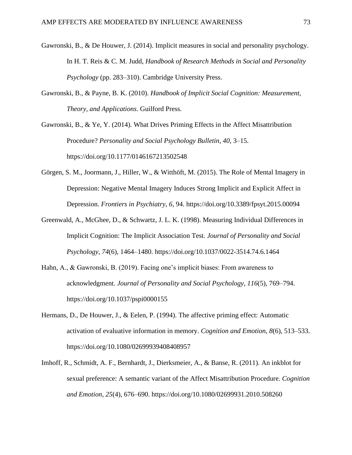- Gawronski, B., & De Houwer, J. (2014). Implicit measures in social and personality psychology. In H. T. Reis & C. M. Judd, *Handbook of Research Methods in Social and Personality Psychology* (pp. 283–310). Cambridge University Press.
- Gawronski, B., & Payne, B. K. (2010). *Handbook of Implicit Social Cognition: Measurement, Theory, and Applications*. Guilford Press.

Gawronski, B., & Ye, Y. (2014). What Drives Priming Effects in the Affect Misattribution Procedure? *Personality and Social Psychology Bulletin*, *40*, 3–15. <https://doi.org/10.1177/0146167213502548>

- Görgen, S. M., Joormann, J., Hiller, W., & Witthöft, M. (2015). The Role of Mental Imagery in Depression: Negative Mental Imagery Induces Strong Implicit and Explicit Affect in Depression. *Frontiers in Psychiatry*, *6*, 94[.](https://doi.org/10.3389/fpsyt.2015.00094) <https://doi.org/10.3389/fpsyt.2015.00094>
- Greenwald, A., McGhee, D., & Schwartz, J. L. K. (1998). Measuring Individual Differences in Implicit Cognition: The Implicit Association Test. *Journal of Personality and Social Psychology*, *74*(6), 1464–1480.<https://doi.org/10.1037/0022-3514.74.6.1464>
- Hahn, A., & Gawronski, B. (2019). Facing one's implicit biases: From awareness to acknowledgment. *Journal of Personality and Social Psychology*, *116*(5), 769–794. <https://doi.org/10.1037/pspi0000155>
- Hermans, D., De Houwer, J., & Eelen, P. (1994). The affective priming effect: Automatic activation of evaluative information in memory. *Cognition and Emotion*, *8*(6), 513–533. <https://doi.org/10.1080/02699939408408957>
- Imhoff, R., Schmidt, A. F., Bernhardt, J., Dierksmeier, A., & Banse, R. (2011). An inkblot for sexual preference: A semantic variant of the Affect Misattribution Procedure. *Cognition and Emotion*, *25*(4), 676–690[.](https://doi.org/10.1080/02699931.2010.508260) <https://doi.org/10.1080/02699931.2010.508260>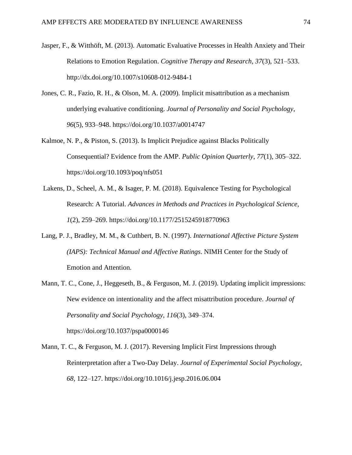- Jasper, F., & Witthöft, M. (2013). Automatic Evaluative Processes in Health Anxiety and Their Relations to Emotion Regulation. *Cognitive Therapy and Research, 37*(3), 521–533[.](http://dx.doi.org/10.1007/s10608-012-9484-1) <http://dx.doi.org/10.1007/s10608-012-9484-1>
- Jones, C. R., Fazio, R. H., & Olson, M. A. (2009). Implicit misattribution as a mechanism underlying evaluative conditioning. *Journal of Personality and Social Psychology*, *96*(5), 933–948. <https://doi.org/10.1037/a0014747>
- Kalmoe, N. P., & Piston, S. (2013). Is Implicit Prejudice against Blacks Politically Consequential? Evidence from the AMP. *Public Opinion Quarterly*, *77*(1), 305–322[.](https://doi.org/10.1093/poq/nfs051) <https://doi.org/10.1093/poq/nfs051>
- Lakens, D., Scheel, A. M., & Isager, P. M. (2018). Equivalence Testing for Psychological Research: A Tutorial. *Advances in Methods and Practices in Psychological Science*, *1*(2), 259–269. <https://doi.org/10.1177/2515245918770963>
- Lang, P. J., Bradley, M. M., & Cuthbert, B. N. (1997). *International Affective Picture System (IAPS): Technical Manual and Affective Ratings*. NIMH Center for the Study of Emotion and Attention.
- Mann, T. C., Cone, J., Heggeseth, B., & Ferguson, M. J. (2019). Updating implicit impressions: New evidence on intentionality and the affect misattribution procedure. *Journal of Personality and Social Psychology*, *116*(3), 349–374. <https://doi.org/10.1037/pspa0000146>
- Mann, T. C., & Ferguson, M. J. (2017). Reversing Implicit First Impressions through Reinterpretation after a Two-Day Delay. *Journal of Experimental Social Psychology*, *68*, 122–127[.](https://doi.org/10.1016/j.jesp.2016.06.004) <https://doi.org/10.1016/j.jesp.2016.06.004>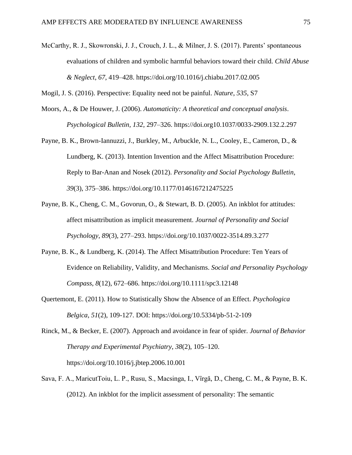McCarthy, R. J., Skowronski, J. J., Crouch, J. L., & Milner, J. S. (2017). Parents' spontaneous evaluations of children and symbolic harmful behaviors toward their child. *Child Abuse & Neglect*, *67*, 419–428[.](https://doi.org/10.1016/j.chiabu.2017.02.005) <https://doi.org/10.1016/j.chiabu.2017.02.005>

Mogil, J. S. (2016). Perspective: Equality need not be painful. *Nature*, *535*, S7

- Moors, A., & De Houwer, J. (2006). *Automaticity: A theoretical and conceptual analysis*. *Psychological Bulletin, 132*, 297–326. [https://doi.org10.1037/0033-2909.132.2.297](about:blank)
- Payne, B. K., Brown-Iannuzzi, J., Burkley, M., Arbuckle, N. L., Cooley, E., Cameron, D., & Lundberg, K. (2013). Intention Invention and the Affect Misattribution Procedure: Reply to Bar-Anan and Nosek (2012). *Personality and Social Psychology Bulletin*, *39*(3), 375–386.<https://doi.org/10.1177/0146167212475225>
- Payne, B. K., Cheng, C. M., Govorun, O., & Stewart, B. D. (2005). An inkblot for attitudes: affect misattribution as implicit measurement. *Journal of Personality and Social Psychology*, *89*(3), 277–293.<https://doi.org/10.1037/0022-3514.89.3.277>
- Payne, B. K., & Lundberg, K. (2014). The Affect Misattribution Procedure: Ten Years of Evidence on Reliability, Validity, and Mechanisms. *Social and Personality Psychology Compass*, *8*(12), 672–686.<https://doi.org/10.1111/spc3.12148>
- Quertemont, E. (2011). How to Statistically Show the Absence of an Effect. *Psychologica Belgica*, *51*(2), 109-127. DOI:<https://doi.org/10.5334/pb-51-2-109>
- Rinck, M., & Becker, E. (2007). Approach and avoidance in fear of spider. *Journal of Behavior Therapy and Experimental Psychiatry*, *38*(2), 105–120. <https://doi.org/10.1016/j.jbtep.2006.10.001>
- Sava, F. A., MaricutΤoiu, L. P., Rusu, S., Macsinga, I., Vîrgă, D., Cheng, C. M., & Payne, B. K. (2012). An inkblot for the implicit assessment of personality: The semantic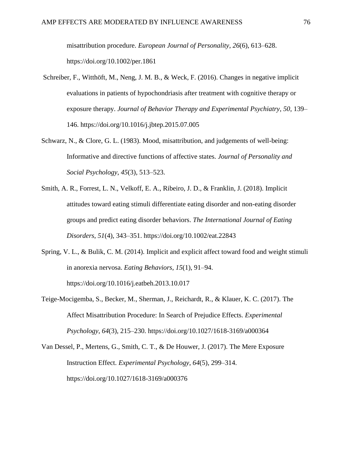misattribution procedure. *European Journal of Personality*, *26*(6), 613–628[.](https://doi.org/10.1002/per.1861) <https://doi.org/10.1002/per.1861>

- Schreiber, F., Witthöft, M., Neng, J. M. B., & Weck, F. (2016). Changes in negative implicit evaluations in patients of hypochondriasis after treatment with cognitive therapy or exposure therapy. *Journal of Behavior Therapy and Experimental Psychiatry*, *50*, 139– 146[.](https://doi.org/10.1016/j.jbtep.2015.07.005) <https://doi.org/10.1016/j.jbtep.2015.07.005>
- Schwarz, N., & Clore, G. L. (1983). Mood, misattribution, and judgements of well-being: Informative and directive functions of affective states. *Journal of Personality and Social Psychology*, *45*(3), 513–523.
- Smith, A. R., Forrest, L. N., Velkoff, E. A., Ribeiro, J. D., & Franklin, J. (2018). Implicit attitudes toward eating stimuli differentiate eating disorder and non-eating disorder groups and predict eating disorder behaviors. *The International Journal of Eating Disorders*, *51*(4), 343–351[.](https://doi.org/10.1002/eat.22843) <https://doi.org/10.1002/eat.22843>
- Spring, V. L., & Bulik, C. M. (2014). Implicit and explicit affect toward food and weight stimuli in anorexia nervosa. *Eating Behaviors*, *15*(1), 91–94[.](https://doi.org/10.1016/j.eatbeh.2013.10.017) <https://doi.org/10.1016/j.eatbeh.2013.10.017>
- Teige-Mocigemba, S., Becker, M., Sherman, J., Reichardt, R., & Klauer, K. C. (2017). The Affect Misattribution Procedure: In Search of Prejudice Effects. *Experimental Psychology*, *64*(3), 215–230.<https://doi.org/10.1027/1618-3169/a000364>
- Van Dessel, P., Mertens, G., Smith, C. T., & De Houwer, J. (2017). The Mere Exposure Instruction Effect. *Experimental Psychology*, *64*(5), 299–314[.](https://doi.org/10.1027/1618-3169/a000376) <https://doi.org/10.1027/1618-3169/a000376>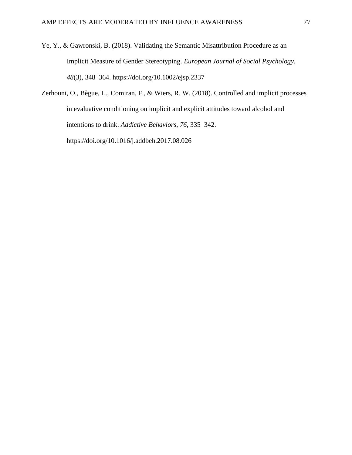- Ye, Y., & Gawronski, B. (2018). Validating the Semantic Misattribution Procedure as an Implicit Measure of Gender Stereotyping. *European Journal of Social Psychology*, *48*(3), 348–364.<https://doi.org/10.1002/ejsp.2337>
- Zerhouni, O., Bègue, L., Comiran, F., & Wiers, R. W. (2018). Controlled and implicit processes in evaluative conditioning on implicit and explicit attitudes toward alcohol and intentions to drink. *Addictive Behaviors*, *76*, 335–342[.](https://doi.org/10.1016/j.addbeh.2017.08.026) <https://doi.org/10.1016/j.addbeh.2017.08.026>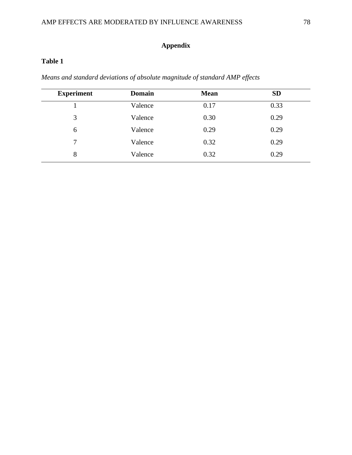# **Appendix**

# **Table 1**

*Means and standard deviations of absolute magnitude of standard AMP effects* 

| <b>Experiment</b> | <b>Domain</b> | <b>Mean</b> | <b>SD</b> |
|-------------------|---------------|-------------|-----------|
|                   | Valence       | 0.17        | 0.33      |
| 3                 | Valence       | 0.30        | 0.29      |
| 6                 | Valence       | 0.29        | 0.29      |
| 7                 | Valence       | 0.32        | 0.29      |
| 8                 | Valence       | 0.32        | 0.29      |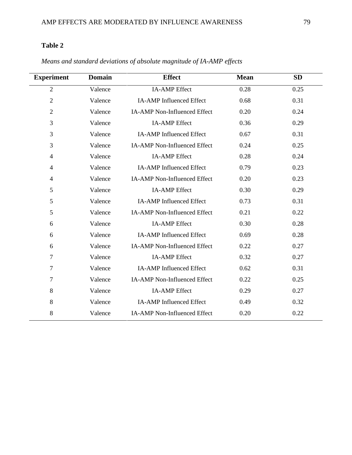### **Table 2**

| <b>Experiment</b> | <b>Domain</b> | <b>Effect</b>                       | <b>Mean</b> | <b>SD</b> |
|-------------------|---------------|-------------------------------------|-------------|-----------|
| $\overline{2}$    | Valence       | <b>IA-AMP</b> Effect                | 0.28        | 0.25      |
| $\overline{2}$    | Valence       | <b>IA-AMP</b> Influenced Effect     | 0.68        | 0.31      |
| $\overline{2}$    | Valence       | IA-AMP Non-Influenced Effect        | 0.20        | 0.24      |
| 3                 | Valence       | <b>IA-AMP</b> Effect                | 0.36        | 0.29      |
| 3                 | Valence       | <b>IA-AMP</b> Influenced Effect     | 0.67        | 0.31      |
| 3                 | Valence       | <b>IA-AMP Non-Influenced Effect</b> | 0.24        | 0.25      |
| $\overline{4}$    | Valence       | <b>IA-AMP</b> Effect                | 0.28        | 0.24      |
| $\overline{4}$    | Valence       | <b>IA-AMP</b> Influenced Effect     | 0.79        | 0.23      |
| $\overline{4}$    | Valence       | <b>IA-AMP Non-Influenced Effect</b> | 0.20        | 0.23      |
| 5                 | Valence       | <b>IA-AMP</b> Effect                | 0.30        | 0.29      |
| 5                 | Valence       | <b>IA-AMP</b> Influenced Effect     | 0.73        | 0.31      |
| 5                 | Valence       | <b>IA-AMP Non-Influenced Effect</b> | 0.21        | 0.22      |
| 6                 | Valence       | <b>IA-AMP</b> Effect                | 0.30        | 0.28      |
| 6                 | Valence       | <b>IA-AMP</b> Influenced Effect     | 0.69        | 0.28      |
| 6                 | Valence       | <b>IA-AMP Non-Influenced Effect</b> | 0.22        | 0.27      |
| $\overline{7}$    | Valence       | <b>IA-AMP</b> Effect                | 0.32        | 0.27      |
| $\overline{7}$    | Valence       | <b>IA-AMP</b> Influenced Effect     | 0.62        | 0.31      |
| 7                 | Valence       | <b>IA-AMP Non-Influenced Effect</b> | 0.22        | 0.25      |
| 8                 | Valence       | <b>IA-AMP</b> Effect                | 0.29        | 0.27      |
| 8                 | Valence       | <b>IA-AMP</b> Influenced Effect     | 0.49        | 0.32      |
| 8                 | Valence       | IA-AMP Non-Influenced Effect        | 0.20        | 0.22      |

*Means and standard deviations of absolute magnitude of IA-AMP effects*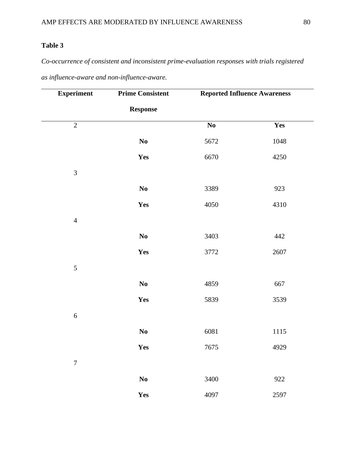## **Table 3**

# *Co-occurrence of consistent and inconsistent prime-evaluation responses with trials registered*

|  | as influence-aware and non-influence-aware. |
|--|---------------------------------------------|
|  |                                             |

| <b>Experiment</b> | <b>Prime Consistent</b> | <b>Reported Influence Awareness</b> |      |
|-------------------|-------------------------|-------------------------------------|------|
|                   | <b>Response</b>         |                                     |      |
| $\overline{2}$    |                         | $\mathbf{N}\mathbf{o}$              | Yes  |
|                   | No                      | 5672                                | 1048 |
|                   | Yes                     | 6670                                | 4250 |
| $\mathfrak{Z}$    |                         |                                     |      |
|                   | No                      | 3389                                | 923  |
|                   | Yes                     | 4050                                | 4310 |
| $\overline{4}$    |                         |                                     |      |
|                   | $\mathbf{N}\mathbf{o}$  | 3403                                | 442  |
|                   | Yes                     | 3772                                | 2607 |
| $\sqrt{5}$        |                         |                                     |      |
|                   | $\mathbf{N}\mathbf{o}$  | 4859                                | 667  |
|                   | Yes                     | 5839                                | 3539 |
| $\sqrt{6}$        |                         |                                     |      |
|                   | $\mathbf{N}\mathbf{o}$  | 6081                                | 1115 |
|                   | Yes                     | 7675                                | 4929 |
| $\boldsymbol{7}$  |                         |                                     |      |
|                   | $\bf No$                | 3400                                | 922  |
|                   | Yes                     | 4097                                | 2597 |